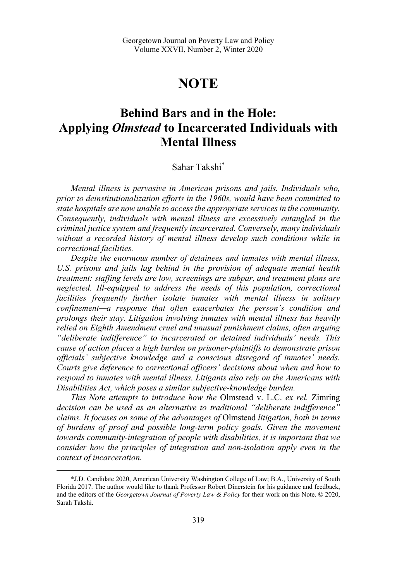# **NOTE**

# **Behind Bars and in the Hole: Applying** *Olmstead* **to Incarcerated Individuals with Mental Illness**

# Sahar Takshi\*

*Mental illness is pervasive in American prisons and jails. Individuals who, prior to deinstitutionalization efforts in the 1960s, would have been committed to state hospitals are now unable to access the appropriate services in the community. Consequently, individuals with mental illness are excessively entangled in the criminal justice system and frequently incarcerated. Conversely, many individuals*  without a recorded history of mental illness develop such conditions while in *correctional facilities.* 

*Despite the enormous number of detainees and inmates with mental illness, U.S. prisons and jails lag behind in the provision of adequate mental health treatment: staffing levels are low, screenings are subpar, and treatment plans are neglected. Ill-equipped to address the needs of this population, correctional facilities frequently further isolate inmates with mental illness in solitary confinement—a response that often exacerbates the person's condition and prolongs their stay. Litigation involving inmates with mental illness has heavily relied on Eighth Amendment cruel and unusual punishment claims, often arguing "deliberate indifference" to incarcerated or detained individuals' needs. This cause of action places a high burden on prisoner-plaintiffs to demonstrate prison officials' subjective knowledge and a conscious disregard of inmates' needs. Courts give deference to correctional officers' decisions about when and how to respond to inmates with mental illness. Litigants also rely on the Americans with Disabilities Act, which poses a similar subjective-knowledge burden.* 

*This Note attempts to introduce how the* Olmstead v. L.C. *ex rel.* Zimring *decision can be used as an alternative to traditional "deliberate indifference" claims. It focuses on some of the advantages of* Olmstead *litigation, both in terms of burdens of proof and possible long-term policy goals. Given the movement towards community-integration of people with disabilities, it is important that we consider how the principles of integration and non-isolation apply even in the context of incarceration.* 

 <sup>\*</sup>J.D. Candidate 2020, American University Washington College of Law; B.A., University of South Florida 2017. The author would like to thank Professor Robert Dinerstein for his guidance and feedback, and the editors of the *Georgetown Journal of Poverty Law & Policy* for their work on this Note. © 2020, Sarah Takshi.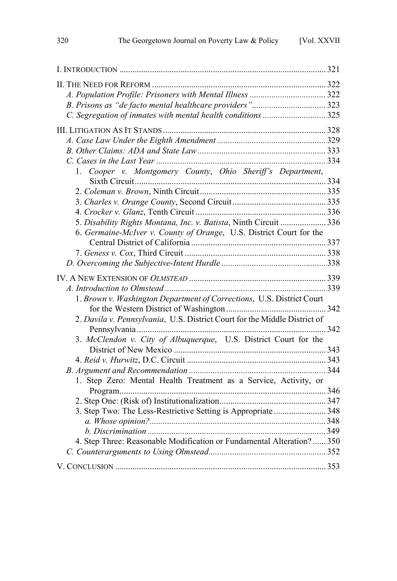| C. Segregation of inmates with mental health conditions 325               |  |
|---------------------------------------------------------------------------|--|
|                                                                           |  |
|                                                                           |  |
|                                                                           |  |
|                                                                           |  |
| Cooper v. Montgomery County, Ohio Sheriff's Department,<br>1.             |  |
|                                                                           |  |
|                                                                           |  |
|                                                                           |  |
|                                                                           |  |
| 5. Disability Rights Montana, Inc. v. Batista, Ninth Circuit  336         |  |
| 6. Germaine-McIver v. County of Orange, U.S. District Court for the       |  |
|                                                                           |  |
|                                                                           |  |
|                                                                           |  |
|                                                                           |  |
|                                                                           |  |
| 1. Brown v. Washington Department of Corrections, U.S. District Court     |  |
|                                                                           |  |
| 2. Davila v. Pennsylvania, U.S. District Court for the Middle District of |  |
|                                                                           |  |
| 3. McClendon v. City of Albuquerque, U.S. District Court for the          |  |
|                                                                           |  |
|                                                                           |  |
|                                                                           |  |
| 1. Step Zero: Mental Health Treatment as a Service, Activity, or          |  |
|                                                                           |  |
| 3. Step Two: The Less-Restrictive Setting is Appropriate  348             |  |
|                                                                           |  |
|                                                                           |  |
| 4. Step Three: Reasonable Modification or Fundamental Alteration?  350    |  |
|                                                                           |  |
|                                                                           |  |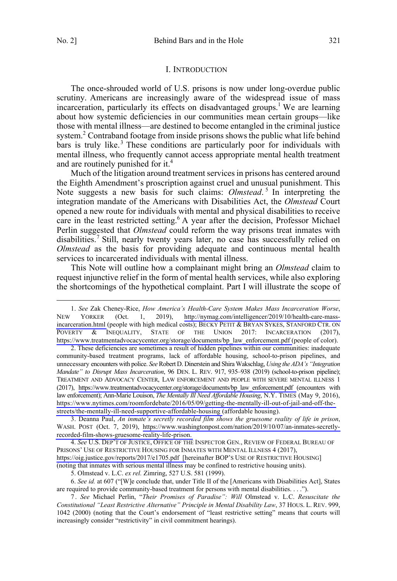#### I. INTRODUCTION

<span id="page-2-0"></span>The once-shrouded world of U.S. prisons is now under long-overdue public scrutiny. Americans are increasingly aware of the widespread issue of mass incarceration, particularly its effects on disadvantaged groups. 1 We are learning about how systemic deficiencies in our communities mean certain groups—like those with mental illness—are destined to become entangled in the criminal justice system.<sup>2</sup> Contraband footage from inside prisons shows the public what life behind bars is truly like.<sup>3</sup> These conditions are particularly poor for individuals with mental illness, who frequently cannot access appropriate mental health treatment and are routinely punished for it.<sup>4</sup>

Much of the litigation around treatment services in prisons has centered around the Eighth Amendment's proscription against cruel and unusual punishment. This Note suggests a new basis for such claims: *Olmstead*. <sup>5</sup> In interpreting the integration mandate of the Americans with Disabilities Act, the *Olmstead* Court opened a new route for individuals with mental and physical disabilities to receive care in the least restricted setting.<sup>6</sup> A year after the decision, Professor Michael Perlin suggested that *Olmstead* could reform the way prisons treat inmates with disabilities.<sup>7</sup> Still, nearly twenty years later, no case has successfully relied on *Olmstead* as the basis for providing adequate and continuous mental health services to incarcerated individuals with mental illness.

This Note will outline how a complainant might bring an *Olmstead* claim to request injunctive relief in the form of mental health services, while also exploring the shortcomings of the hypothetical complaint. Part I will illustrate the scope of

Deanna Paul, *An inmate's secretly recorded film shows the gruesome reality of life in prison*, 3. WASH. POST (Oct. 7, 2019), [https://www.washingtonpost.com/nation/2019/10/07/an-inmates-secretly](https://www.washingtonpost.com/nation/2019/10/07/an-inmates-secretly-recorded-film-shows-gruesome-reality-life-prison)[recorded-film-shows-gruesome-reality-life-prison.](https://www.washingtonpost.com/nation/2019/10/07/an-inmates-secretly-recorded-film-shows-gruesome-reality-life-prison) 

*See* U.S. DEP'T OF JUSTICE, OFFICE OF THE INSPECTOR GEN., REVIEW OF FEDERAL BUREAU OF 4. PRISONS' USE OF RESTRICTIVE HOUSING FOR INMATES WITH MENTAL ILLNESS 4 (2017), [https://oig.justice.gov/reports/2017/e1705.pdf \[h](https://oig.justice.gov/reports/2017/e1705.pdf)ereinafter BOP'S USE OF RESTRICTIVE HOUSING] (noting that inmates with serious mental illness may be confined to restrictive housing units).

5. Olmstead v. L.C. *ex rel.* Zimring, 527 U.S. 581 (1999).

6. *See id.* at 607 ("[W]e conclude that, under Title II of the [Americans with Disabilities Act], States are required to provide community-based treatment for persons with mental disabilities. . . .").

7 . *See* Michael Perlin, "*Their Promises of Paradise": Will* Olmstead v. L.C. *Resuscitate the Constitutional "Least Restrictive Alternative" Principle in Mental Disability Law*, 37 HOUS. L. REV. 999, 1042 (2000) (noting that the Court's endorsement of "least restrictive setting" means that courts will increasingly consider "restrictivity" in civil commitment hearings).

*See* Zak Cheney-Rice, *How America's Health-Care System Makes Mass Incarceration Worse*, 1. NEW YORKER (Oct. 1, 2019), [http://nymag.com/intelligencer/2019/10/health-care-mass](http://nymag.com/intelligencer/2019/10/health-care-mass-incarceration.html)[incarceration.html](http://nymag.com/intelligencer/2019/10/health-care-mass-incarceration.html) (people with high medical costs); BECKY PETIT & BRYAN SYKES, STANFORD CTR. ON POVERTY & INEQUALITY, STATE OF THE UNION 2017: INCARCERATION (2017), [https://www.treatmentadvocacycenter.org/storage/documents/bp\\_law\\_enforcement.pdf \(](https://www.treatmentadvocacycenter.org/storage/documents/bp_law_enforcement.pdf)people of color).

<sup>2.</sup> These deficiencies are sometimes a result of hidden pipelines within our communities: inadequate community-based treatment programs, lack of affordable housing, school-to-prison pipelines, and unnecessary encounters with police. *See* Robert D. Dinerstein and Shira Wakschlag, *Using the ADA's "Integration Mandate" to Disrupt Mass Incarceration*, 96 DEN. L. REV. 917, 935–938 (2019) (school-to-prison pipeline); TREATMENT AND ADVOCACY CENTER, LAW ENFORCEMENT AND PEOPLE WITH SEVERE MENTAL ILLNESS 1 (2017), [https://www.treatmentadvocacycenter.org/storage/documents/bp\\_law\\_enforcement.pdf](https://www.treatmentadvocacycenter.org/storage/documents/bp_law_enforcement.pdf) (encounters with law enforcement); Ann-Marie Louison, *The Mentally Ill Need Affordable Housing*, N.Y. TIMES (May 9, 2016), [https://www.nytimes.com/roomfordebate/2016/05/09/getting-the-mentally-ill-out-of-jail-and-off-the](https://www.nytimes.com/roomfordebate/2016/05/09/getting-the-mentally-ill-out-of-jail-and-off-the-streets/the-mentally-ill-need-supportive-affordable-housing)[streets/the-mentally-ill-need-supportive-affordable-housing \(](https://www.nytimes.com/roomfordebate/2016/05/09/getting-the-mentally-ill-out-of-jail-and-off-the-streets/the-mentally-ill-need-supportive-affordable-housing)affordable housing).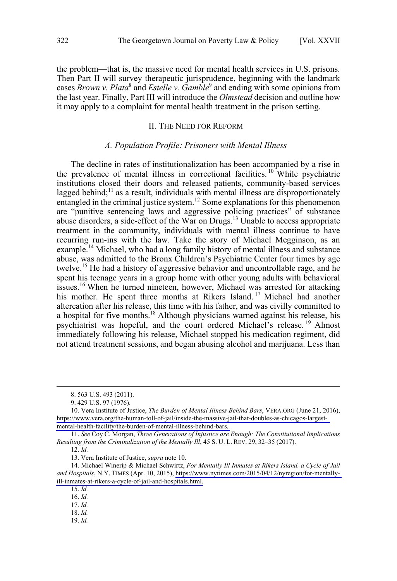<span id="page-3-0"></span>the problem—that is, the massive need for mental health services in U.S. prisons. Then Part II will survey therapeutic jurisprudence, beginning with the landmark cases *Brown v. Plata*<sup>8</sup> and *Estelle v. Gamble*<sup>9</sup> and ending with some opinions from the last year. Finally, Part III will introduce the *Olmstead* decision and outline how it may apply to a complaint for mental health treatment in the prison setting.

#### II. THE NEED FOR REFORM

#### *A. Population Profile: Prisoners with Mental Illness*

The decline in rates of institutionalization has been accompanied by a rise in the prevalence of mental illness in correctional facilities.<sup>10</sup> While psychiatric institutions closed their doors and released patients, community-based services lagged behind;<sup>11</sup> as a result, individuals with mental illness are disproportionately entangled in the criminal justice system.<sup>12</sup> Some explanations for this phenomenon are "punitive sentencing laws and aggressive policing practices" of substance abuse disorders, a side-effect of the War on Drugs.<sup>13</sup> Unable to access appropriate treatment in the community, individuals with mental illness continue to have recurring run-ins with the law. Take the story of Michael Megginson, as an example.<sup>14</sup> Michael, who had a long family history of mental illness and substance abuse, was admitted to the Bronx Children's Psychiatric Center four times by age twelve.<sup>15</sup> He had a history of aggressive behavior and uncontrollable rage, and he spent his teenage years in a group home with other young adults with behavioral issues.<sup>16</sup> When he turned nineteen, however, Michael was arrested for attacking his mother. He spent three months at Rikers Island.<sup>17</sup> Michael had another altercation after his release, this time with his father, and was civilly committed to a hospital for five months.<sup>18</sup> Although physicians warned against his release, his psychiatrist was hopeful, and the court ordered Michael's release. <sup>19</sup> Almost immediately following his release, Michael stopped his medication regiment, did not attend treatment sessions, and began abusing alcohol and marijuana. Less than

12. *Id.*

13. Vera Institute of Justice, *supra* note 10.

16. *Id.*

19. *Id.*

 <sup>8. 563</sup> U.S. 493 (2011).

<sup>9. 429</sup> U.S. 97 (1976).

<sup>10.</sup> Vera Institute of Justice, *The Burden of Mental Illness Behind Bars*, VERA.ORG (June 21, 2016), [https://www.vera.org/the-human-toll-of-jail/inside-the-massive-jail-that-doubles-as-chicagos-largest](https://www.vera.org/the-human-toll-of-jail/inside-the-massive-jail-that-doubles-as-chicagos-largest-mental-health-facility/the-burden-of-mental-illness-behind-bars)[mental-health-facility/the-burden-of-mental-illness-behind-bars.](https://www.vera.org/the-human-toll-of-jail/inside-the-massive-jail-that-doubles-as-chicagos-largest-mental-health-facility/the-burden-of-mental-illness-behind-bars) 

<sup>11.</sup> *See* Coy C. Morgan, *Three Generations of Injustice are Enough: The Constitutional Implications Resulting from the Criminalization of the Mentally Ill*, 45 S. U. L. REV. 29, 32–35 (2017).

<sup>14.</sup> Michael Winerip & Michael Schwirtz, *For Mentally Ill Inmates at Rikers Island, a Cycle of Jail and Hospitals*, N.Y. TIMES (Apr. 10, 2015), [https://www.nytimes.com/2015/04/12/nyregion/for-mentally](https://www.nytimes.com/2015/04/12/nyregion/for-mentally-ill-inmates-at-rikers-a-cycle-of-jail-and-hospitals.html)[ill-inmates-at-rikers-a-cycle-of-jail-and-hospitals.html.](https://www.nytimes.com/2015/04/12/nyregion/for-mentally-ill-inmates-at-rikers-a-cycle-of-jail-and-hospitals.html)

<sup>15.</sup> *Id.*

<sup>17.</sup> *Id.*

<sup>18.</sup> *Id.*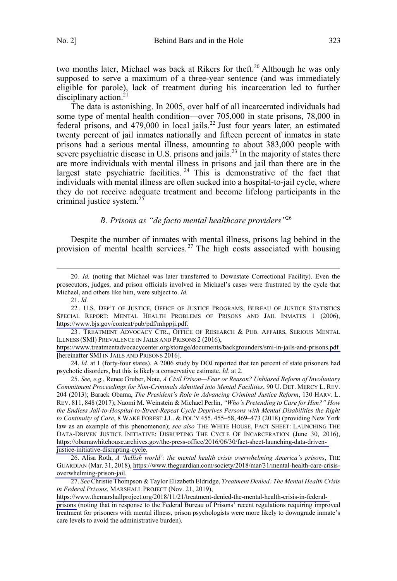<span id="page-4-0"></span>two months later, Michael was back at Rikers for theft.<sup>20</sup> Although he was only supposed to serve a maximum of a three-year sentence (and was immediately eligible for parole), lack of treatment during his incarceration led to further disciplinary action.<sup>21</sup>

The data is astonishing. In 2005, over half of all incarcerated individuals had some type of mental health condition—over 705,000 in state prisons, 78,000 in federal prisons, and  $479,000$  in local jails.<sup>22</sup> Just four years later, an estimated twenty percent of jail inmates nationally and fifteen percent of inmates in state prisons had a serious mental illness, amounting to about 383,000 people with severe psychiatric disease in U.S. prisons and jails.<sup>23</sup> In the majority of states there are more individuals with mental illness in prisons and jail than there are in the largest state psychiatric facilities.  $24$  This is demonstrative of the fact that individuals with mental illness are often sucked into a hospital-to-jail cycle, where they do not receive adequate treatment and become lifelong participants in the criminal justice system. $25$ 

#### *B. Prisons as "de facto mental healthcare providers"*<sup>26</sup>

Despite the number of inmates with mental illness, prisons lag behind in the provision of mental health services.<sup>27</sup> The high costs associated with housing

24. *Id.* at 1 (forty-four states). A 2006 study by DOJ reported that ten percent of state prisoners had psychotic disorders, but this is likely a conservative estimate. *Id.* at 2.

 <sup>20.</sup> *Id.* (noting that Michael was later transferred to Downstate Correctional Facility). Even the prosecutors, judges, and prison officials involved in Michael's cases were frustrated by the cycle that Michael, and others like him, were subject to. *Id.*

<sup>21.</sup> *Id.*

<sup>22.</sup> U.S. DEP'T OF JUSTICE, OFFICE OF JUSTICE PROGRAMS, BUREAU OF JUSTICE STATISTICS SPECIAL REPORT: MENTAL HEALTH PROBLEMS OF PRISONS AND JAIL INMATES 1 (2006), [https://www.bjs.gov/content/pub/pdf/mhppji.pdf.](https://www.bjs.gov/content/pub/pdf/mhppji.pdf)

<sup>23.</sup> TREATMENT ADVOCACY CTR., OFFICE OF RESEARCH & PUB. AFFAIRS, SERIOUS MENTAL ILLNESS (SMI) PREVALENCE IN JAILS AND PRISONS 2 (2016),

<https://www.treatmentadvocacycenter.org/storage/documents/backgrounders/smi-in-jails-and-prisons.pdf> [hereinafter SMI IN JAILS AND PRISONS 2016].

*See, e.g.*, Renee Gruber, Note, *A Civil Prison—Fear or Reason? Unbiased Reform of Involuntary*  25. *Commitment Proceedings for Non-Criminals Admitted into Mental Facilities*, 90 U. DET. MERCY L. REV. 204 (2013); Barack Obama, *The President's Role in Advancing Criminal Justice Reform*, 130 HARV. L. REV. 811, 848 (2017); Naomi M. Weinstein & Michael Perlin, *"Who's Pretending to Care for Him?" How the Endless Jail-to-Hospital-to-Street-Repeat Cycle Deprives Persons with Mental Disabilities the Right to Continuity of Care*, 8 WAKE FOREST J.L. & POL'Y 455, 455–58, 469–473 (2018) (providing New York law as an example of this phenomenon); *see also* THE WHITE HOUSE, FACT SHEET: LAUNCHING THE DATA-DRIVEN JUSTICE INITIATIVE: DISRUPTING THE CYCLE OF INCARCERATION (June 30, 2016), [https://obamawhitehouse.archives.gov/the-press-office/2016/06/30/fact-sheet-launching-data-driven](https://obamawhitehouse.archives.gov/the-press-office/2016/06/30/fact-sheet-launching-data-driven-justice-initiative-disrupting-cycle)[justice-initiative-disrupting-cycle.](https://obamawhitehouse.archives.gov/the-press-office/2016/06/30/fact-sheet-launching-data-driven-justice-initiative-disrupting-cycle)

<sup>26.</sup> Alisa Roth, *A 'hellish world': the mental health crisis overwhelming America's prisons*, THE GUARDIAN (Mar. 31, 2018), [https://www.theguardian.com/society/2018/mar/31/mental-health-care-crisis](https://www.theguardian.com/society/2018/mar/31/mental-health-care-crisis-overwhelming-prison-jail)[overwhelming-prison-jail.](https://www.theguardian.com/society/2018/mar/31/mental-health-care-crisis-overwhelming-prison-jail)

*See* Christie Thompson & Taylor Elizabeth Eldridge, *Treatment Denied: The Mental Health Crisis*  27. *in Federal Prisons*, MARSHALL PROJECT (Nov. 21, 2019),

[https://www.themarshallproject.org/2018/11/21/treatment-denied-the-mental-health-crisis-in-federal](https://www.themarshallproject.org/2018/11/21/treatment-denied-the-mental-health-crisis-in-federal-prisons)[prisons](https://www.themarshallproject.org/2018/11/21/treatment-denied-the-mental-health-crisis-in-federal-prisons) (noting that in response to the Federal Bureau of Prisons' recent regulations requiring improved treatment for prisoners with mental illness, prison psychologists were more likely to downgrade inmate's care levels to avoid the administrative burden).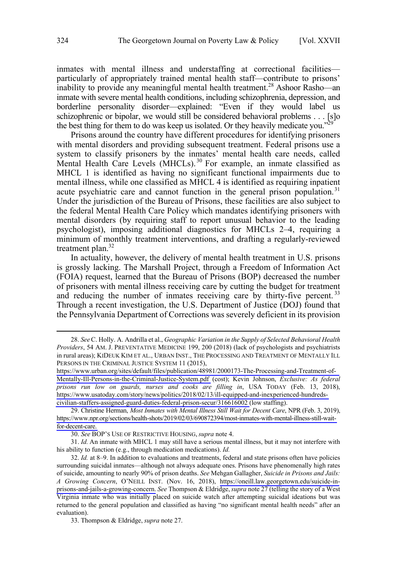inmates with mental illness and understaffing at correctional facilities particularly of appropriately trained mental health staff—contribute to prisons' inability to provide any meaningful mental health treatment.<sup>28</sup> Ashoor Rasho—an inmate with severe mental health conditions, including schizophrenia, depression, and borderline personality disorder—explained: "Even if they would label us schizophrenic or bipolar, we would still be considered behavioral problems . . . [s]o the best thing for them to do was keep us isolated. Or they heavily medicate you."<sup>2</sup>

Prisons around the country have different procedures for identifying prisoners with mental disorders and providing subsequent treatment. Federal prisons use a system to classify prisoners by the inmates' mental health care needs, called Mental Health Care Levels (MHCLs).<sup>30</sup> For example, an inmate classified as MHCL 1 is identified as having no significant functional impairments due to mental illness, while one classified as MHCL 4 is identified as requiring inpatient acute psychiatric care and cannot function in the general prison population.<sup>31</sup> Under the jurisdiction of the Bureau of Prisons, these facilities are also subject to the federal Mental Health Care Policy which mandates identifying prisoners with mental disorders (by requiring staff to report unusual behavior to the leading psychologist), imposing additional diagnostics for MHCLs 2–4, requiring a minimum of monthly treatment interventions, and drafting a regularly-reviewed treatment plan. $32$ 

In actuality, however, the delivery of mental health treatment in U.S. prisons is grossly lacking. The Marshall Project, through a Freedom of Information Act (FOIA) request, learned that the Bureau of Prisons (BOP) decreased the number of prisoners with mental illness receiving care by cutting the budget for treatment and reducing the number of inmates receiving care by thirty-five percent.<sup>33</sup> Through a recent investigation, the U.S. Department of Justice (DOJ) found that the Pennsylvania Department of Corrections was severely deficient in its provision

*See*C. Holly. A. Andrilla et al., *Geographic Variation in the Supply of Selected Behavioral Health*  28. *Providers*, 54 AM. J. PREVENTATIVE MEDICINE 199, 200 (2018) (lack of psychologists and psychiatrists in rural areas); KIDEUK KIM ET AL., URBAN INST., THE PROCESSING AND TREATMENT OF MENTALLY ILL PERSONS IN THE CRIMINAL JUSTICE SYSTEM 11 (2015),

[https://www.urban.org/sites/default/files/publication/48981/2000173-The-Processing-and-Treatment-of-](https://www.urban.org/sites/default/files/publication/48981/2000173-The-Processing-and-Treatment-of-Mentally-Ill-Persons-in-the-Criminal-Justice-System.pdf)[Mentally-Ill-Persons-in-the-Criminal-Justice-System.pdf](https://www.urban.org/sites/default/files/publication/48981/2000173-The-Processing-and-Treatment-of-Mentally-Ill-Persons-in-the-Criminal-Justice-System.pdf) (cost); Kevin Johnson, *Exclusive: As federal prisons run low on guards, nurses and cooks are filling in*, USA TODAY (Feb. 13, 2018), [https://www.usatoday.com/story/news/politics/2018/02/13/ill-equipped-and-inexperienced-hundreds](https://www.usatoday.com/story/news/politics/2018/02/13/ill-equipped-and-inexperienced-hundreds-civilian-staffers-assigned-guard-duties-federal-prison-secur/316616002)[civilian-staffers-assigned-guard-duties-federal-prison-secur/316616002 \(](https://www.usatoday.com/story/news/politics/2018/02/13/ill-equipped-and-inexperienced-hundreds-civilian-staffers-assigned-guard-duties-federal-prison-secur/316616002)low staffing).

<sup>29.</sup> Christine Herman, *Most Inmates with Mental Illness Still Wait for Decent Care*, NPR (Feb. 3, 2019), [https://www.npr.org/sections/health-shots/2019/02/03/690872394/most-inmates-with-mental-illness-still-wait](https://www.npr.org/sections/health-shots/2019/02/03/690872394/most-inmates-with-mental-illness-still-wait-for-decent-care)[for-decent-care.](https://www.npr.org/sections/health-shots/2019/02/03/690872394/most-inmates-with-mental-illness-still-wait-for-decent-care) 

<sup>30.</sup> *See* BOP'S USE OF RESTRICTIVE HOUSING, *supra* note 4.

<sup>31.</sup> *Id.* An inmate with MHCL 1 may still have a serious mental illness, but it may not interfere with his ability to function (e.g., through medication medications). *Id.*

*Id.* at 8–9. In addition to evaluations and treatments, federal and state prisons often have policies 32. surrounding suicidal inmates—although not always adequate ones. Prisons have phenomenally high rates of suicide, amounting to nearly 90% of prison deaths. *See* Mehgan Gallagher, *Suicide in Prisons and Jails: A Growing Concern*, O'NEILL INST. (Nov. 16, 2018), [https://oneill.law.georgetown.edu/suicide-in](https://oneill.law.georgetown.edu/suicide-in-prisons-and-jails-a-growing-concern)[prisons-and-jails-a-growing-concern.](https://oneill.law.georgetown.edu/suicide-in-prisons-and-jails-a-growing-concern) *See* Thompson & Eldridge,*supra* note 27 (telling the story of a West Virginia inmate who was initially placed on suicide watch after attempting suicidal ideations but was returned to the general population and classified as having "no significant mental health needs" after an evaluation).

<sup>33.</sup> Thompson & Eldridge, *supra* note 27.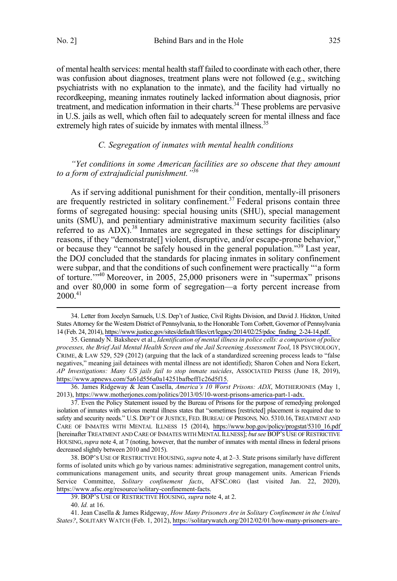<span id="page-6-0"></span>No. 2] Behind Bars and in the Hole 325

of mental health services: mental health staff failed to coordinate with each other, there was confusion about diagnoses, treatment plans were not followed (e.g., switching psychiatrists with no explanation to the inmate), and the facility had virtually no recordkeeping, meaning inmates routinely lacked information about diagnosis, prior treatment, and medication information in their charts.<sup>34</sup> These problems are pervasive in U.S. jails as well, which often fail to adequately screen for mental illness and face extremely high rates of suicide by inmates with mental illness.<sup>35</sup>

#### *C. Segregation of inmates with mental health conditions*

*"Yet conditions in some American facilities are so obscene that they amount to a form of extrajudicial punishment."36*

As if serving additional punishment for their condition, mentally-ill prisoners are frequently restricted in solitary confinement.<sup>37</sup> Federal prisons contain three forms of segregated housing: special housing units (SHU), special management units (SMU), and penitentiary administrative maximum security facilities (also referred to as  $ADX$ ).<sup>38</sup> Inmates are segregated in these settings for disciplinary reasons, if they "demonstrate[] violent, disruptive, and/or escape-prone behavior," or because they "cannot be safely housed in the general population."39 Last year, the DOJ concluded that the standards for placing inmates in solitary confinement were subpar, and that the conditions of such confinement were practically "'a form of torture.'"40 Moreover, in 2005, 25,000 prisoners were in "supermax" prisons and over 80,000 in some form of segregation—a forty percent increase from  $2000^{41}$ 

36. James Ridgeway & Jean Casella, *America's 10 Worst Prisons: ADX*, MOTHERJONES (May 1, 2013), [https://www.motherjones.com/politics/2013/05/10-worst-prisons-america-part-1-adx.](https://www.motherjones.com/politics/2013/05/10-worst-prisons-america-part-1-adx) 

38. BOP's USE OF RESTRICTIVE HOUSING, *supra* note 4, at 2-3. State prisons similarly have different forms of isolated units which go by various names: administrative segregation, management control units, communications management units, and security threat group management units. American Friends Service Committee, *Solitary confinement facts*, AFSC.ORG (last visited Jan. 22, 2020), [https://www.afsc.org/resource/solitary-confinement-facts.](https://www.afsc.org/resource/solitary-confinement-facts)

39. BOP'S USE OF RESTRICTIVE HOUSING, *supra* note 4, at 2.

40. *Id.* at 16.

41. Jean Casella & James Ridgeway, *How Many Prisoners Are in Solitary Confinement in the United States?*, SOLITARY WATCH (Feb. 1, 2012), [https://solitarywatch.org/2012/02/01/how-many-prisoners-are-](https://solitarywatch.org/2012/02/01/how-many-prisoners-are-in-solitary-confinement-in-the-united-states/)

<sup>34.</sup> Letter from Jocelyn Samuels, U.S. Dep't of Justice, Civil Rights Division, and David J. Hickton, United States Attorney for the Western District of Pennsylvania, to the Honorable Tom Corbett, Governor of Pennsylvania 14 (Feb. 24, 2014), [https://www.justice.gov/sites/default/files/crt/legacy/2014/02/25/pdoc\\_finding\\_2-24-14.pdf.](https://www.justice.gov/sites/default/files/crt/legacy/2014/02/25/pdoc_finding_2-24-14.pdf) 

<sup>35.</sup> Gennady N. Baksheev et al., *Identification of mental illness in police cells: a comparison of police processes, the Brief Jail Mental Health Screen and the Jail Screening Assessment Tool*, 18 PSYCHOLOGY, CRIME, & LAW 529, 529 (2012) (arguing that the lack of a standardized screening process leads to "false negatives," meaning jail detainees with mental illness are not identified); Sharon Cohen and Nora Eckert, *AP Investigations: Many US jails fail to stop inmate suicides*, ASSOCIATED PRESS (June 18, 2019), [https://www.apnews.com/5a61d556a0a14251bafbeff1c26d5f15.](https://www.apnews.com/5a61d556a0a14251bafbeff1c26d5f15)

<sup>37.</sup> Even the Policy Statement issued by the Bureau of Prisons for the purpose of remedying prolonged isolation of inmates with serious mental illness states that "sometimes [restricted] placement is required due to safety and security needs." U.S. DEP'T OF JUSTICE, FED. BUREAU OF PRISONS*,* NO. 5310.16, TREATMENT AND CARE OF INMATES WITH MENTAL ILLNESS 15 (2014), [https://www.bop.gov/policy/progstat/5310\\_16.pdf](https://www.bop.gov/policy/progstat/5310_16.pdf)  [hereinafter TREATMENT AND CARE OF INMATES WITH MENTAL ILLNESS]; *but see* BOP'S USE OF RESTRICTIVE HOUSING,*supra* note 4, at 7 (noting, however, that the number of inmates with mental illness in federal prisons decreased slightly between 2010 and 2015).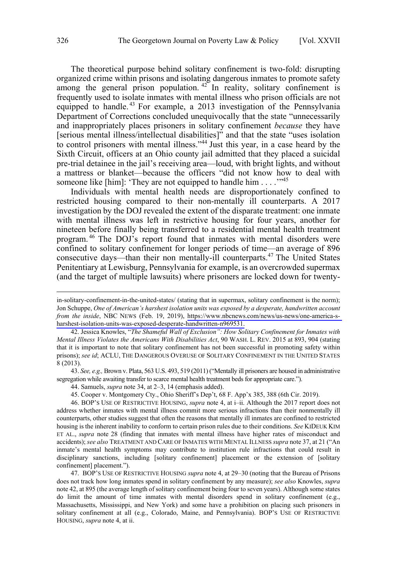The theoretical purpose behind solitary confinement is two-fold: disrupting organized crime within prisons and isolating dangerous inmates to promote safety among the general prison population.  $42$  In reality, solitary confinement is frequently used to isolate inmates with mental illness who prison officials are not equipped to handle.<sup>43</sup> For example, a 2013 investigation of the Pennsylvania Department of Corrections concluded unequivocally that the state "unnecessarily and inappropriately places prisoners in solitary confinement *because* they have [serious mental illness/intellectual disabilities]" and that the state "uses isolation to control prisoners with mental illness."<sup>44</sup> Just this year, in a case heard by the Sixth Circuit, officers at an Ohio county jail admitted that they placed a suicidal pre-trial detainee in the jail's receiving area—loud, with bright lights, and without a mattress or blanket—because the officers "did not know how to deal with someone like [him]: 'They are not equipped to handle him . . . . "<sup>45</sup>

Individuals with mental health needs are disproportionately confined to restricted housing compared to their non-mentally ill counterparts. A 2017 investigation by the DOJ revealed the extent of the disparate treatment: one inmate with mental illness was left in restrictive housing for four years, another for nineteen before finally being transferred to a residential mental health treatment program. <sup>46</sup> The DOJ's report found that inmates with mental disorders were confined to solitary confinement for longer periods of time—an average of 896 consecutive days—than their non mentally-ill counterparts.<sup>47</sup> The United States Penitentiary at Lewisburg, Pennsylvania for example, is an overcrowded supermax (and the target of multiple lawsuits) where prisoners are locked down for twenty-

43. *See, e.g.,* Brown v. Plata, 563 U.S. 493, 519 (2011) ("Mentally ill prisoners are housed in administrative segregation while awaiting transfer to scarce mental health treatment beds for appropriate care.").

44. Samuels, *supra* note 34, at 2–3, 14 (emphasis added).

45. Cooper v. Montgomery Cty., Ohio Sheriff's Dep't, 68 F. App'x 385, 388 (6th Cir. 2019).

46. BOP'S USE OF RESTRICTIVE HOUSING, *supra* note 4, at i–ii. Although the 2017 report does not address whether inmates with mental illness commit more serious infractions than their nonmentally ill counterparts, other studies suggest that often the reasons that mentally ill inmates are confined to restricted housing is the inherent inability to conform to certain prison rules due to their conditions. *See* KIDEUK KIM ET AL., *supra* note 28 (finding that inmates with mental illness have higher rates of misconduct and accidents); *see also* TREATMENT AND CARE OF INMATES WITH MENTAL ILLNESS *supra* note 37, at 21 ("An inmate's mental health symptoms may contribute to institution rule infractions that could result in disciplinary sanctions, including [solitary confinement] placement or the extension of [solitary confinement] placement.").

47. BOP'S USE OF RESTRICTIVE HOUSING *supra* note 4, at 29–30 (noting that the Bureau of Prisons does not track how long inmates spend in solitary confinement by any measure); *see also* Knowles, *supra* note 42, at 895 (the average length of solitary confinement being four to seven years). Although some states do limit the amount of time inmates with mental disorders spend in solitary confinement (e.g., Massachusetts, Mississippi, and New York) and some have a prohibition on placing such prisoners in solitary confinement at all (e.g., Colorado, Maine, and Pennsylvania). BOP'S USE OF RESTRICTIVE HOUSING, *supra* note 4, at ii.

 $\overline{a}$ 

in-solitary-confinement-in-the-united-states/ (stating that in supermax, solitary confinement is the norm); Jon Schuppe, *One of American's harshest isolation units was exposed by a desperate, handwritten account from the inside*, NBC NEWS (Feb. 19, 2019), [https://www.nbcnews.com/news/us-news/one-america-s](https://www.nbcnews.com/news/us-news/one-america-s-harshest-isolation-units-was-exposed-desperate-handwritten-n969531)[harshest-isolation-units-was-exposed-desperate-handwritten-n969531.](https://www.nbcnews.com/news/us-news/one-america-s-harshest-isolation-units-was-exposed-desperate-handwritten-n969531)

<sup>42.</sup> Jessica Knowles, "*The Shameful Wall of Exclusion": How Solitary Confinement for Inmates with Mental Illness Violates the Americans With Disabilities Act*, 90 WASH. L. REV. 2015 at 893, 904 (stating that it is important to note that solitary confinement has not been successful in promoting safety within prisons); *see id*; ACLU, THE DANGEROUS OVERUSE OF SOLITARY CONFINEMENT IN THE UNITED STATES 8 (2013).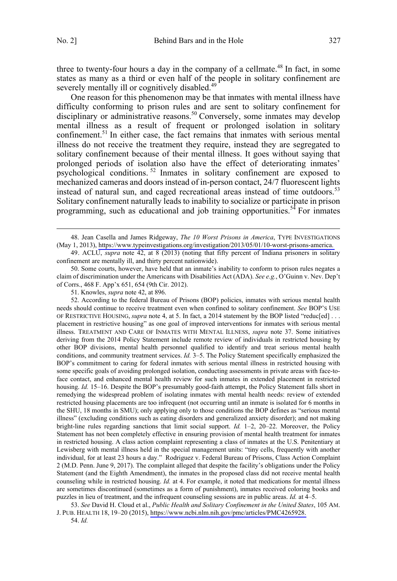three to twenty-four hours a day in the company of a cellmate.<sup>48</sup> In fact, in some states as many as a third or even half of the people in solitary confinement are severely mentally ill or cognitively disabled.<sup>49</sup>

One reason for this phenomenon may be that inmates with mental illness have difficulty conforming to prison rules and are sent to solitary confinement for disciplinary or administrative reasons.<sup>50</sup> Conversely, some inmates may develop mental illness as a result of frequent or prolonged isolation in solitary confinement.<sup>51</sup> In either case, the fact remains that inmates with serious mental illness do not receive the treatment they require, instead they are segregated to solitary confinement because of their mental illness. It goes without saying that prolonged periods of isolation also have the effect of deteriorating inmates' psychological conditions. <sup>52</sup> Inmates in solitary confinement are exposed to mechanized cameras and doors instead of in-person contact, 24/7 fluorescent lights instead of natural sun, and caged recreational areas instead of time outdoors.<sup>53</sup> Solitary confinement naturally leads to inability to socialize or participate in prison programming, such as educational and job training opportunities.<sup>54</sup> For inmates

50. Some courts, however, have held that an inmate's inability to conform to prison rules negates a claim of discrimination under the Americans with Disabilities Act (ADA). *See e.g.*, O'Guinn v. Nev. Dep't of Corrs., 468 F. App'x 651, 654 (9th Cir. 2012).

51. Knowles, *supra* note 42, at 896.

52. According to the federal Bureau of Prisons (BOP) policies, inmates with serious mental health needs should continue to receive treatment even when confined to solitary confinement. *See* BOP'S USE OF RESTRICTIVE HOUSING, *supra* note 4, at 5. In fact, a 2014 statement by the BOP listed "reduc[ed] . . . placement in restrictive housing" as one goal of improved interventions for inmates with serious mental illness. TREATMENT AND CARE OF INMATES WITH MENTAL ILLNESS, *supra* note 37. Some initiatives deriving from the 2014 Policy Statement include remote review of individuals in restricted housing by other BOP divisions, mental health personnel qualified to identify and treat serious mental health conditions, and community treatment services. *Id.* 3–5. The Policy Statement specifically emphasized the BOP's commitment to caring for federal inmates with serious mental illness in restricted housing with some specific goals of avoiding prolonged isolation, conducting assessments in private areas with face-toface contact, and enhanced mental health review for such inmates in extended placement in restricted housing. *Id.* 15–16. Despite the BOP's presumably good-faith attempt, the Policy Statement falls short in remedying the widespread problem of isolating inmates with mental health needs: review of extended restricted housing placements are too infrequent (not occurring until an inmate is isolated for 6 months in the SHU, 18 months in SMU); only applying only to those conditions the BOP defines as "serious mental illness" (excluding conditions such as eating disorders and generalized anxiety disorder); and not making bright-line rules regarding sanctions that limit social support. *Id.* 1–2, 20–22. Moreover, the Policy Statement has not been completely effective in ensuring provision of mental health treatment for inmates in restricted housing. A class action complaint representing a class of inmates at the U.S. Penitentiary at Lewisberg with mental illness held in the special management units: "tiny cells, frequently with another individual, for at least 23 hours a day." Rodriguez v. Federal Bureau of Prisons, Class Action Complaint 2 (M.D. Penn. June 9, 2017). The complaint alleged that despite the facility's obligations under the Policy Statement (and the Eighth Amendment), the inmates in the proposed class did not receive mental health counseling while in restricted housing. *Id.* at 4. For example, it noted that medications for mental illness are sometimes discontinued (sometimes as a form of punishment), inmates received coloring books and puzzles in lieu of treatment, and the infrequent counseling sessions are in public areas. *Id.* at 4–5.

*See* David H. Cloud et al., *Public Health and Solitary Confinement in the United States*, 105 AM. 53. J. PUB. HEALTH 18, 19–20 (2015), [https://www.ncbi.nlm.nih.gov/pmc/articles/PMC4265928.](https://www.ncbi.nlm.nih.gov/pmc/articles/PMC4265928)

54. *Id.*

<sup>48.</sup> Jean Casella and James Ridgeway, *The 10 Worst Prisons in America*, TYPE INVESTIGATIONS (May 1, 2013), [https://www.typeinvestigations.org/investigation/2013/05/01/10-worst-prisons-america.](https://www.typeinvestigations.org/investigation/2013/05/01/10-worst-prisons-america) 

<sup>49.</sup> ACLU, *supra* note 42, at 8 (2013) (noting that fifty percent of Indiana prisoners in solitary confinement are mentally ill, and thirty percent nationwide).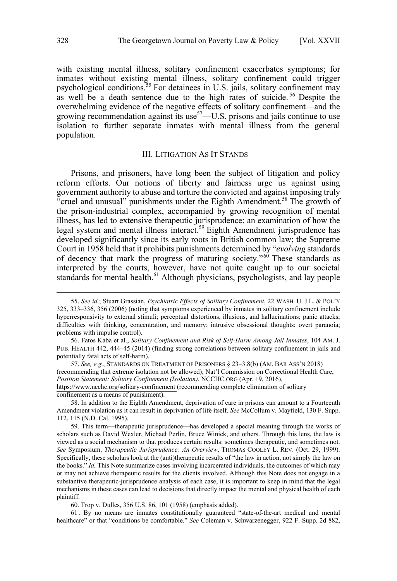<span id="page-9-0"></span>with existing mental illness, solitary confinement exacerbates symptoms; for inmates without existing mental illness, solitary confinement could trigger psychological conditions.<sup>55</sup> For detainees in U.S. jails, solitary confinement may as well be a death sentence due to the high rates of suicide.<sup>56</sup> Despite the overwhelming evidence of the negative effects of solitary confinement—and the growing recommendation against its use<sup>57</sup> $-$ U.S. prisons and jails continue to use isolation to further separate inmates with mental illness from the general population.

#### III. LITIGATION AS IT STANDS

Prisons, and prisoners, have long been the subject of litigation and policy reform efforts. Our notions of liberty and fairness urge us against using government authority to abuse and torture the convicted and against imposing truly "cruel and unusual" punishments under the Eighth Amendment.<sup>58</sup> The growth of the prison-industrial complex, accompanied by growing recognition of mental illness, has led to extensive therapeutic jurisprudence: an examination of how the legal system and mental illness interact.<sup>59</sup> Eighth Amendment jurisprudence has developed significantly since its early roots in British common law; the Supreme Court in 1958 held that it prohibits punishments determined by "*evolving* standards of decency that mark the progress of maturing society."<sup>60</sup> These standards as interpreted by the courts, however, have not quite caught up to our societal standards for mental health.<sup>61</sup> Although physicians, psychologists, and lay people

58. In addition to the Eighth Amendment, deprivation of care in prisons can amount to a Fourteenth Amendment violation as it can result in deprivation of life itself. *See* McCollum v. Mayfield, 130 F. Supp. 112, 115 (N.D. Cal. 1995).

59. This term—therapeutic jurisprudence—has developed a special meaning through the works of scholars such as David Wexler, Michael Perlin, Bruce Winick, and others. Through this lens, the law is viewed as a social mechanism to that produces certain results: sometimes therapeutic, and sometimes not. *See* Symposium, *Therapeutic Jurisprudence: An Overview*, THOMAS COOLEY L. REV. (Oct. 29, 1999). Specifically, these scholars look at the (anti)therapeutic results of "the law in action, not simply the law on the books." *Id.* This Note summarize cases involving incarcerated individuals, the outcomes of which may or may not achieve therapeutic results for the clients involved. Although this Note does not engage in a substantive therapeutic-jurisprudence analysis of each case, it is important to keep in mind that the legal mechanisms in these cases can lead to decisions that directly impact the mental and physical health of each plaintiff.

60. Trop v. Dulles, 356 U.S. 86, 101 (1958) (emphasis added).

61 . By no means are inmates constitutionally guaranteed "state-of-the-art medical and mental healthcare" or that "conditions be comfortable." *See* Coleman v. Schwarzenegger, 922 F. Supp. 2d 882,

 <sup>55.</sup> *See id.*; Stuart Grassian, *Psychiatric Effects of Solitary Confinement*, 22 WASH. U. J.L. & POL'Y 325, 333–336, 356 (2006) (noting that symptoms experienced by inmates in solitary confinement include hyperresponsivity to external stimuli; perceptual distortions, illusions, and hallucinations; panic attacks; difficulties with thinking, concentration, and memory; intrusive obsessional thoughts; overt paranoia; problems with impulse control).

<sup>56.</sup> Fatos Kaba et al., *Solitary Confinement and Risk of Self-Harm Among Jail Inmates*, 104 AM. J. PUB. HEALTH 442, 444–45 (2014) (finding strong correlations between solitary confinement in jails and potentially fatal acts of self-harm).

<sup>57.</sup> See, e.g., STANDARDS ON TREATMENT OF PRISONERS § 23-3.8(b) (AM. BAR ASS'N 2018) (recommending that extreme isolation not be allowed); Nat'l Commission on Correctional Health Care, *Position Statement: Solitary Confinement (Isolation)*, NCCHC.ORG (Apr. 19, 2016), <https://www.ncchc.org/solitary-confinement>(recommending complete elimination of solitary confinement as a means of punishment).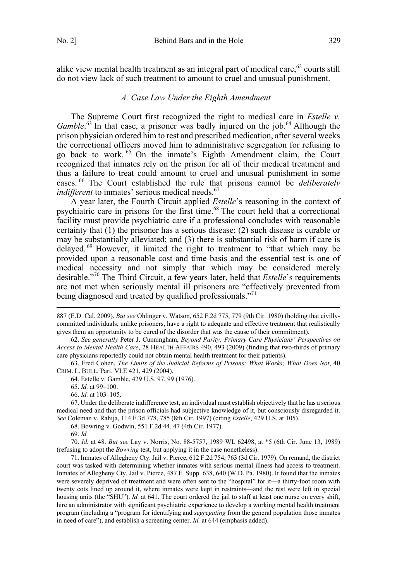<span id="page-10-0"></span>alike view mental health treatment as an integral part of medical care,  $62$  courts still do not view lack of such treatment to amount to cruel and unusual punishment.

### *A. Case Law Under the Eighth Amendment*

The Supreme Court first recognized the right to medical care in *Estelle v.*  Gamble.<sup>63</sup> In that case, a prisoner was badly injured on the job.<sup>64</sup> Although the prison physician ordered him to rest and prescribed medication, after several weeks the correctional officers moved him to administrative segregation for refusing to go back to work. <sup>65</sup> On the inmate's Eighth Amendment claim, the Court recognized that inmates rely on the prison for all of their medical treatment and thus a failure to treat could amount to cruel and unusual punishment in some cases. <sup>66</sup> The Court established the rule that prisons cannot be *deliberately indifferent* to inmates' serious medical needs.<sup>67</sup>

A year later, the Fourth Circuit applied *Estelle*'s reasoning in the context of psychiatric care in prisons for the first time.<sup>68</sup> The court held that a correctional facility must provide psychiatric care if a professional concludes with reasonable certainty that (1) the prisoner has a serious disease; (2) such disease is curable or may be substantially alleviated; and (3) there is substantial risk of harm if care is delayed. <sup>69</sup> However, it limited the right to treatment to "that which may be provided upon a reasonable cost and time basis and the essential test is one of medical necessity and not simply that which may be considered merely desirable."<sup>70</sup> The Third Circuit, a few years later, held that *Estelle*'s requirements are not met when seriously mental ill prisoners are "effectively prevented from being diagnosed and treated by qualified professionals."<sup>71</sup>

63. Fred Cohen, *The Limits of the Judicial Reforms of Prisons: What Works; What Does Not*, 40 CRIM. L. BULL. Part. VI.E 421, 429 (2004).

66. *Id.* at 103–105.

67. Under the deliberate indifference test, an individual must establish objectively that he has a serious medical need and that the prison officials had subjective knowledge of it, but consciously disregarded it. *See* Coleman v. Rahija, 114 F.3d 778, 785 (8th Cir. 1997) (citing *Estelle*, 429 U.S. at 105).

68. Bowring v. Godwin, 551 F.2d 44, 47 (4th Cir. 1977).

70. *Id.* at 48. *But see* Lay v. Norris, No. 88-5757, 1989 WL 62498, at \*5 (6th Cir. June 13, 1989) (refusing to adopt the *Bowring* test, but applying it in the case nonetheless).

71. Inmates of Allegheny Cty. Jail v. Pierce, 612 F.2d 754, 763 (3d Cir. 1979). On remand, the district court was tasked with determining whether inmates with serious mental illness had access to treatment. Inmates of Allegheny Cty. Jail v. Pierce, 487 F. Supp. 638, 640 (W.D. Pa. 1980). It found that the inmates were severely deprived of treatment and were often sent to the "hospital" for it—a thirty-foot room with twenty cots lined up around it, where inmates were kept in restraints—and the rest were left in special housing units (the "SHU"). *Id.* at 641. The court ordered the jail to staff at least one nurse on every shift, hire an administrator with significant psychiatric experience to develop a working mental health treatment program (including a "program for identifying and *segregating* from the general population those inmates in need of care"), and establish a screening center. *Id.* at 644 (emphasis added).

 <sup>887 (</sup>E.D. Cal. 2009). *But see* Ohlinger v. Watson, 652 F.2d 775, 779 (9th Cir. 1980) (holding that civillycommitted individuals, unlike prisoners, have a right to adequate and effective treatment that realistically gives them an opportunity to be cured of the disorder that was the cause of their commitment).

<sup>62.</sup> *See generally* Peter J. Cunningham, *Beyond Parity: Primary Care Physicians' Perspectives on Access to Mental Health Care*, 28 HEALTH AFFAIRS 490, 493 (2009) (finding that two-thirds of primary care physicians reportedly could not obtain mental health treatment for their patients).

<sup>64.</sup> Estelle v. Gamble, 429 U.S. 97, 99 (1976).

<sup>65.</sup> *Id.* at 99–100.

<sup>69.</sup> *Id.*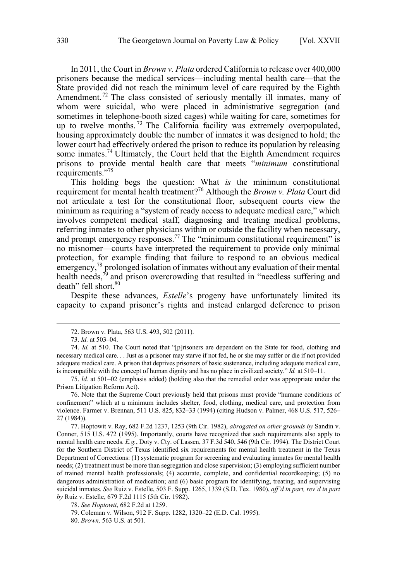In 2011, the Court in *Brown v. Plata* ordered California to release over 400,000 prisoners because the medical services—including mental health care—that the State provided did not reach the minimum level of care required by the Eighth Amendment.<sup>72</sup> The class consisted of seriously mentally ill inmates, many of whom were suicidal, who were placed in administrative segregation (and sometimes in telephone-booth sized cages) while waiting for care, sometimes for up to twelve months.<sup>73</sup> The California facility was extremely overpopulated, housing approximately double the number of inmates it was designed to hold; the lower court had effectively ordered the prison to reduce its population by releasing some inmates.<sup>74</sup> Ultimately, the Court held that the Eighth Amendment requires prisons to provide mental health care that meets "*minimum* constitutional requirements."75

This holding begs the question: What *is* the minimum constitutional requirement for mental health treatment?<sup>76</sup> Although the *Brown v. Plata* Court did not articulate a test for the constitutional floor, subsequent courts view the minimum as requiring a "system of ready access to adequate medical care," which involves competent medical staff, diagnosing and treating medical problems, referring inmates to other physicians within or outside the facility when necessary, and prompt emergency responses.<sup>77</sup> The "minimum constitutional requirement" is no misnomer—courts have interpreted the requirement to provide only minimal protection, for example finding that failure to respond to an obvious medical emergency, $78$  prolonged isolation of inmates without any evaluation of their mental health needs, $\sqrt[7]{9}$  and prison overcrowding that resulted in "needless suffering and death" fell short.<sup>80</sup>

Despite these advances, *Estelle*'s progeny have unfortunately limited its capacity to expand prisoner's rights and instead enlarged deference to prison

76. Note that the Supreme Court previously held that prisons must provide "humane conditions of confinement" which at a minimum includes shelter, food, clothing, medical care, and protection from violence. Farmer v. Brennan, 511 U.S. 825, 832–33 (1994) (citing Hudson v. Palmer, 468 U.S. 517, 526– 27 (1984)).

77. Hoptowit v. Ray, 682 F.2d 1237, 1253 (9th Cir. 1982), *abrogated on other grounds by* Sandin v. Conner, 515 U.S. 472 (1995). Importantly, courts have recognized that such requirements also apply to mental health care needs. *E.g.*, Doty v. Cty. of Lassen, 37 F.3d 540, 546 (9th Cir. 1994). The District Court for the Southern District of Texas identified six requirements for mental health treatment in the Texas Department of Corrections: (1) systematic program for screening and evaluating inmates for mental health needs; (2) treatment must be more than segregation and close supervision; (3) employing sufficient number of trained mental health professionals; (4) accurate, complete, and confidential recordkeeping; (5) no dangerous administration of medication; and (6) basic program for identifying, treating, and supervising suicidal inmates. *See* Ruiz v. Estelle, 503 F. Supp. 1265, 1339 (S.D. Tex. 1980), *aff'd in part, rev'd in part by* Ruiz v. Estelle, 679 F.2d 1115 (5th Cir. 1982).

 <sup>72.</sup> Brown v. Plata, 563 U.S. 493, 502 (2011).

<sup>73.</sup> *Id.* at 503–04.

<sup>74.</sup> *Id.* at 510. The Court noted that "[p]risoners are dependent on the State for food, clothing and necessary medical care. . . Just as a prisoner may starve if not fed, he or she may suffer or die if not provided adequate medical care. A prison that deprives prisoners of basic sustenance, including adequate medical care, is incompatible with the concept of human dignity and has no place in civilized society." *Id.* at 510–11.

<sup>75.</sup> *Id.* at 501–02 (emphasis added) (holding also that the remedial order was appropriate under the Prison Litigation Reform Act).

<sup>78.</sup> *See Hoptowit*, 682 F.2d at 1259.

<sup>79.</sup> Coleman v. Wilson, 912 F. Supp. 1282, 1320–22 (E.D. Cal. 1995).

<sup>80.</sup> *Brown,* 563 U.S. at 501.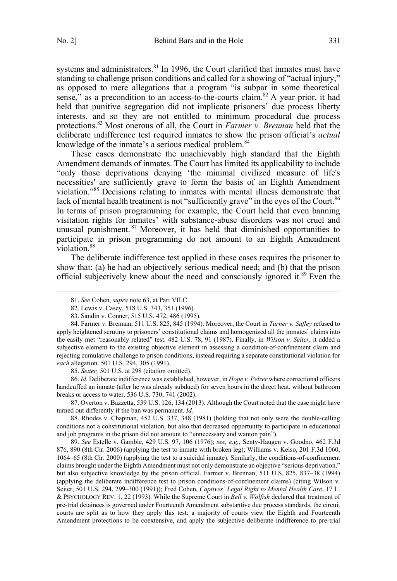systems and administrators. $81$  In 1996, the Court clarified that inmates must have standing to challenge prison conditions and called for a showing of "actual injury," as opposed to mere allegations that a program "is subpar in some theoretical sense," as a precondition to an access-to-the-courts claim.<sup>82</sup> A year prior, it had held that punitive segregation did not implicate prisoners' due process liberty interests, and so they are not entitled to minimum procedural due process protections.83 Most onerous of all, the Court in *Farmer v. Brennan* held that the deliberate indifference test required inmates to show the prison official's *actual* knowledge of the inmate's a serious medical problem.<sup>84</sup>

These cases demonstrate the unachievably high standard that the Eighth Amendment demands of inmates. The Court has limited its applicability to include "only those deprivations denying 'the minimal civilized measure of life's necessities' are sufficiently grave to form the basis of an Eighth Amendment violation."<sup>85</sup> Decisions relating to inmates with mental illness demonstrate that lack of mental health treatment is not "sufficiently grave" in the eyes of the Court.<sup>86</sup> In terms of prison programming for example, the Court held that even banning visitation rights for inmates' with substance-abuse disorders was not cruel and unusual punishment.<sup>87</sup> Moreover, it has held that diminished opportunities to participate in prison programming do not amount to an Eighth Amendment violation.<sup>88</sup>

The deliberate indifference test applied in these cases requires the prisoner to show that: (a) he had an objectively serious medical need; and (b) that the prison official subjectively knew about the need and consciously ignored it.<sup>89</sup> Even the

85. *Seiter,* 501 U.S. at 298 (citation omitted).

86. *Id.* Deliberate indifference was established, however, in *Hope v. Pelzer* where correctional officers handcuffed an inmate (after he was already subdued) for seven hours in the direct heat, without bathroom breaks or access to water. 536 U.S. 730, 741 (2002).

87. Overton v. Bazzetta, 539 U.S. 126, 134 (2013). Although the Court noted that the case might have turned out differently if the ban was permanent. *Id.*

88. Rhodes v. Chapman, 452 U.S. 337, 348 (1981) (holding that not only were the double-celling conditions not a constitutional violation, but also that decreased opportunity to participate in educational and job programs in the prison did not amount to "unnecessary and wanton pain").

89. *See* Estelle v. Gamble, 429 U.S. 97, 106 (1976); *see, e.g.*, Senty-Haugen v. Goodno, 462 F.3d 876, 890 (8th Cir. 2006) (applying the test to inmate with broken leg); Williams v. Kelso, 201 F.3d 1060, 1064–65 (8th Cir. 2000) (applying the test to a suicidal inmate). Similarly, the conditions-of-confinement claims brought under the Eighth Amendment must not only demonstrate an objective "serious deprivation," but also subjective knowledge by the prison official. Farmer v. Brennan, 511 U.S. 825, 837–38 (1994) (applying the deliberate indifference test to prison conditions-of-confinement claims) (citing Wilson v. Seiter, 501 U.S. 294, 299–300 (1991)); Fred Cohen, *Captives' Legal Right to Mental Health Care*, 17 L. & PSYCHOLOGY REV. 1, 22 (1993). While the Supreme Court in *Bell v. Wolfish* declared that treatment of pre-trial detainees is governed under Fourteenth Amendment substantive due process standards, the circuit courts are split as to how they apply this test: a majority of courts view the Eighth and Fourteenth Amendment protections to be coextensive, and apply the subjective deliberate indifference to pre-trial

 <sup>81.</sup> *See* Cohen, *supra* note 63, at Part VII.C.

<sup>82.</sup> Lewis v. Casey, 518 U.S. 343, 351 (1996).

<sup>83.</sup> Sandin v. Conner, 515 U.S. 472, 486 (1995).

<sup>84.</sup> Farmer v. Brennan, 511 U.S. 825, 845 (1994). Moreover, the Court in *Turner v. Safley* refused to apply heightened scrutiny to prisoners' constitutional claims and homogenized all the inmates' claims into the easily met "reasonably related" test. 482 U.S. 78, 91 (1987). Finally, in *Wilson v. Seiter*, it added a subjective element to the existing objective element in assessing a condition-of-confinement claim and rejecting cumulative challenge to prison conditions, instead requiring a separate constitutional violation for *each* allegation. 501 U.S. 294, 305 (1991).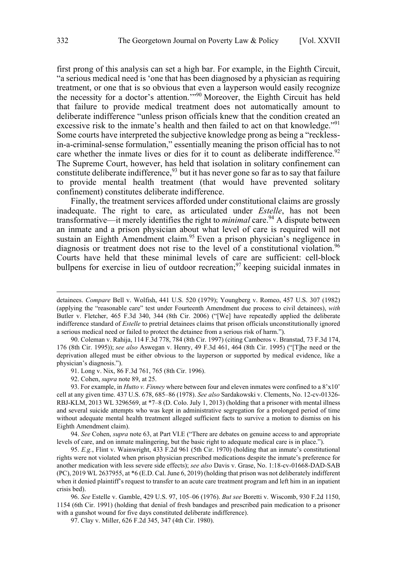first prong of this analysis can set a high bar. For example, in the Eighth Circuit, "a serious medical need is 'one that has been diagnosed by a physician as requiring treatment, or one that is so obvious that even a layperson would easily recognize the necessity for a doctor's attention.'"<sup>90</sup> Moreover, the Eighth Circuit has held that failure to provide medical treatment does not automatically amount to deliberate indifference "unless prison officials knew that the condition created an excessive risk to the inmate's health and then failed to act on that knowledge."<sup>91</sup> Some courts have interpreted the subjective knowledge prong as being a "recklessin-a-criminal-sense formulation," essentially meaning the prison official has to not care whether the inmate lives or dies for it to count as deliberate indifference.<sup>92</sup> The Supreme Court, however, has held that isolation in solitary confinement can constitute deliberate indifference,<sup>93</sup> but it has never gone so far as to say that failure to provide mental health treatment (that would have prevented solitary confinement) constitutes deliberate indifference.

Finally, the treatment services afforded under constitutional claims are grossly inadequate. The right to care, as articulated under *Estelle*, has not been transformative—it merely identifies the right to *minimal* care.<sup>94</sup> A dispute between an inmate and a prison physician about what level of care is required will not sustain an Eighth Amendment claim.<sup>95</sup> Even a prison physician's negligence in diagnosis or treatment does not rise to the level of a constitutional violation.<sup>96</sup> Courts have held that these minimal levels of care are sufficient: cell-block bullpens for exercise in lieu of outdoor recreation;<sup>97</sup> keeping suicidal inmates in

91. Long v. Nix, 86 F.3d 761, 765 (8th Cir. 1996).

92. Cohen, *supra* note 89, at 25.

93. For example, in *Hutto v. Finney* where between four and eleven inmates were confined to a 8'x10' cell at any given time. 437 U.S. 678, 685–86 (1978). *See also* Sardakowski v. Clements, No. 12-cv-01326- RBJ-KLM, 2013 WL 3296569, at \*7–8 (D. Colo. July 1, 2013) (holding that a prisoner with mental illness and several suicide attempts who was kept in administrative segregation for a prolonged period of time without adequate mental health treatment alleged sufficient facts to survive a motion to dismiss on his Eighth Amendment claim).

94. *See* Cohen, *supra* note 63, at Part VI.E ("There are debates on genuine access to and appropriate levels of care, and on inmate malingering, but the basic right to adequate medical care is in place.").

95. *E.g.*, Flint v. Wainwright, 433 F.2d 961 (5th Cir. 1970) (holding that an inmate's constitutional rights were not violated when prison physician prescribed medications despite the inmate's preference for another medication with less severe side effects); *see also* Davis v. Grase, No. 1:18-cv-01668-DAD-SAB (PC), 2019 WL 2637955, at \*6 (E.D. Cal. June 6, 2019) (holding that prison was not deliberately indifferent when it denied plaintiff's request to transfer to an acute care treatment program and left him in an inpatient crisis bed).

96. *See* Estelle v. Gamble, 429 U.S. 97, 105–06 (1976). *But see* Boretti v. Wiscomb, 930 F.2d 1150, 1154 (6th Cir. 1991) (holding that denial of fresh bandages and prescribed pain medication to a prisoner with a gunshot wound for five days constituted deliberate indifference).

97. Clay v. Miller, 626 F.2d 345, 347 (4th Cir. 1980).

detainees. *Compare* Bell v. Wolfish, 441 U.S. 520 (1979); Youngberg v. Romeo, 457 U.S. 307 (1982) (applying the "reasonable care" test under Fourteenth Amendment due process to civil detainees), *with* Butler v. Fletcher, 465 F.3d 340, 344 (8th Cir. 2006) ("[We] have repeatedly applied the deliberate indifference standard of *Estelle* to pretrial detainees claims that prison officials unconstitutionally ignored a serious medical need or failed to protect the detainee from a serious risk of harm.").

<sup>90.</sup> Coleman v. Rahija, 114 F.3d 778, 784 (8th Cir. 1997) (citing Camberos v. Branstad, 73 F.3d 174, 176 (8th Cir. 1995)); *see also* Aswegan v. Henry, 49 F.3d 461, 464 (8th Cir. 1995) ("[T]he need or the deprivation alleged must be either obvious to the layperson or supported by medical evidence, like a physician's diagnosis.").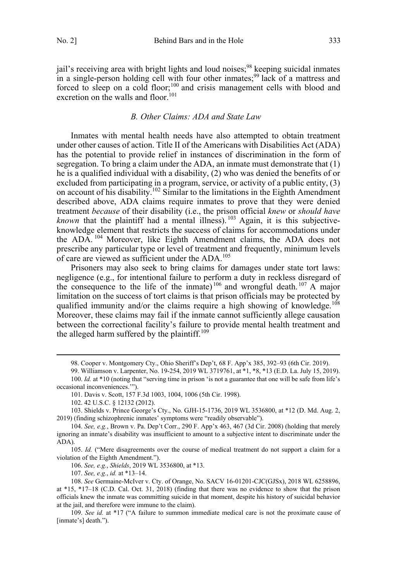<span id="page-14-0"></span>jail's receiving area with bright lights and loud noises;<sup>98</sup> keeping suicidal inmates in a single-person holding cell with four other inmates;<sup>99</sup> lack of a mattress and forced to sleep on a cold floor;<sup>100</sup> and crisis management cells with blood and excretion on the walls and floor.<sup>101</sup>

#### *B. Other Claims: ADA and State Law*

Inmates with mental health needs have also attempted to obtain treatment under other causes of action. Title II of the Americans with Disabilities Act (ADA) has the potential to provide relief in instances of discrimination in the form of segregation. To bring a claim under the ADA, an inmate must demonstrate that  $(1)$ he is a qualified individual with a disability, (2) who was denied the benefits of or excluded from participating in a program, service, or activity of a public entity, (3) on account of his disability.<sup>102</sup> Similar to the limitations in the Eighth Amendment described above, ADA claims require inmates to prove that they were denied treatment *because* of their disability (i.e., the prison official *knew* or *should have known* that the plaintiff had a mental illness).  $^{103}$  Again, it is this subjectiveknowledge element that restricts the success of claims for accommodations under the ADA. <sup>104</sup> Moreover, like Eighth Amendment claims, the ADA does not prescribe any particular type or level of treatment and frequently, minimum levels of care are viewed as sufficient under the ADA.<sup>105</sup>

Prisoners may also seek to bring claims for damages under state tort laws: negligence (e.g., for intentional failure to perform a duty in reckless disregard of the consequence to the life of the inmate)<sup>106</sup> and wrongful death.<sup>107</sup> A major limitation on the success of tort claims is that prison officials may be protected by qualified immunity and/or the claims require a high showing of knowledge.<sup>108</sup> Moreover, these claims may fail if the inmate cannot sufficiently allege causation between the correctional facility's failure to provide mental health treatment and the alleged harm suffered by the plaintiff.<sup>109</sup>

101. Davis v. Scott, 157 F.3d 1003, 1004, 1006 (5th Cir. 1998).

106. *See, e.g.*, *Shields*, 2019 WL 3536800, at \*13.

107. *See, e.g.*, *id.* at \*13–14.

 <sup>98.</sup> Cooper v. Montgomery Cty., Ohio Sheriff's Dep't, 68 F. App'x 385, 392–93 (6th Cir. 2019).

<sup>99.</sup> Williamson v. Larpenter, No. 19-254, 2019 WL 3719761, at \*1, \*8, \*13 (E.D. La. July 15, 2019). 100. *Id.* at \*10 (noting that "serving time in prison 'is not a guarantee that one will be safe from life's occasional inconveniences.'").

<sup>102. 42</sup> U.S.C. § 12132 (2012).

<sup>103.</sup> Shields v. Prince George's Cty., No. GJH-15-1736, 2019 WL 3536800, at \*12 (D. Md. Aug. 2, 2019) (finding schizophrenic inmates' symptoms were "readily observable").

<sup>104.</sup> *See, e.g.*, Brown v. Pa. Dep't Corr., 290 F. App'x 463, 467 (3d Cir. 2008) (holding that merely ignoring an inmate's disability was insufficient to amount to a subjective intent to discriminate under the ADA).

<sup>105.</sup> *Id.* ("Mere disagreements over the course of medical treatment do not support a claim for a violation of the Eighth Amendment.").

<sup>108.</sup> *See* Germaine-McIver v. Cty. of Orange, No. SACV 16-01201-CJC(GJSx), 2018 WL 6258896, at \*15, \*17–18 (C.D. Cal. Oct. 31, 2018) (finding that there was no evidence to show that the prison officials knew the inmate was committing suicide in that moment, despite his history of suicidal behavior at the jail, and therefore were immune to the claim).

<sup>109.</sup> *See id.* at \*17 ("A failure to summon immediate medical care is not the proximate cause of [inmate's] death.").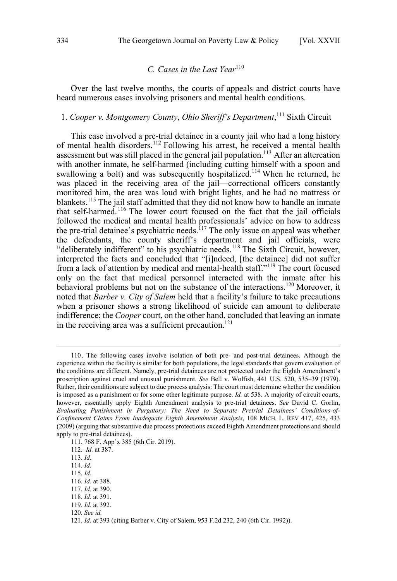# *C. Cases in the Last Year*<sup>110</sup>

<span id="page-15-0"></span>Over the last twelve months, the courts of appeals and district courts have heard numerous cases involving prisoners and mental health conditions.

# 1. *Cooper v. Montgomery County*, *Ohio Sheriff's Department*, <sup>111</sup> Sixth Circuit

This case involved a pre-trial detainee in a county jail who had a long history of mental health disorders.<sup>112</sup> Following his arrest, he received a mental health assessment but was still placed in the general jail population.<sup>113</sup> After an altercation with another inmate, he self-harmed (including cutting himself with a spoon and swallowing a bolt) and was subsequently hospitalized.<sup>114</sup> When he returned, he was placed in the receiving area of the jail—correctional officers constantly monitored him, the area was loud with bright lights, and he had no mattress or blankets.<sup>115</sup> The jail staff admitted that they did not know how to handle an inmate that self-harmed.<sup>116</sup> The lower court focused on the fact that the jail officials followed the medical and mental health professionals' advice on how to address the pre-trial detainee's psychiatric needs.<sup>117</sup> The only issue on appeal was whether the defendants, the county sheriff's department and jail officials, were "deliberately indifferent" to his psychiatric needs.<sup>118</sup> The Sixth Circuit, however, interpreted the facts and concluded that "[i]ndeed, [the detainee] did not suffer from a lack of attention by medical and mental-health staff."119 The court focused only on the fact that medical personnel interacted with the inmate after his behavioral problems but not on the substance of the interactions.<sup>120</sup> Moreover, it noted that *Barber v. City of Salem* held that a facility's failure to take precautions when a prisoner shows a strong likelihood of suicide can amount to deliberate indifference; the *Cooper* court, on the other hand, concluded that leaving an inmate in the receiving area was a sufficient precaution.<sup>121</sup>

 <sup>110.</sup> The following cases involve isolation of both pre- and post-trial detainees. Although the experience within the facility is similar for both populations, the legal standards that govern evaluation of the conditions are different. Namely, pre-trial detainees are not protected under the Eighth Amendment's proscription against cruel and unusual punishment. *See* Bell v. Wolfish, 441 U.S. 520, 535–39 (1979). Rather, their conditions are subject to due process analysis: The court must determine whether the condition is imposed as a punishment or for some other legitimate purpose. *Id.* at 538. A majority of circuit courts, however, essentially apply Eighth Amendment analysis to pre-trial detainees. *See* David C. Gorlin, *Evaluating Punishment in Purgatory: The Need to Separate Pretrial Detainees' Conditions-of-Confinement Claims From Inadequate Eighth Amendment Analysis*, 108 MICH. L. REV 417, 425, 433 (2009) (arguing that substantive due process protections exceed Eighth Amendment protections and should apply to pre-trial detainees).

<sup>111. 768</sup> F. App'x 385 (6th Cir. 2019).

<sup>112.</sup> *Id.* at 387.

<sup>113.</sup> *Id.*

<sup>114.</sup> *Id.*

<sup>115.</sup> *Id.*

<sup>116.</sup> *Id.* at 388.

<sup>117.</sup> *Id.* at 390.

<sup>118.</sup> *Id.* at 391.

<sup>119.</sup> *Id.* at 392.

<sup>120.</sup> *See id.*

<sup>121.</sup> *Id.* at 393 (citing Barber v. City of Salem, 953 F.2d 232, 240 (6th Cir. 1992)).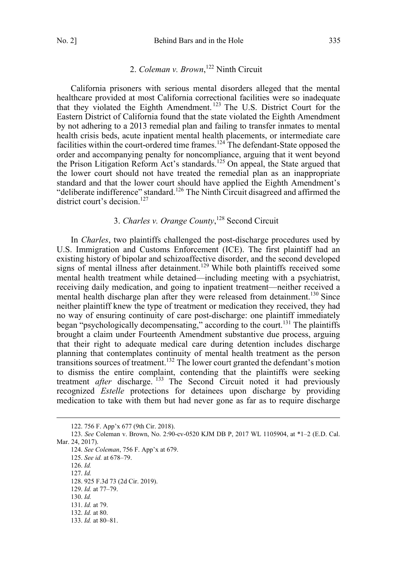# 2. *Coleman v. Brown*, <sup>122</sup> Ninth Circuit

<span id="page-16-0"></span>California prisoners with serious mental disorders alleged that the mental healthcare provided at most California correctional facilities were so inadequate that they violated the Eighth Amendment. <sup>123</sup> The U.S. District Court for the Eastern District of California found that the state violated the Eighth Amendment by not adhering to a 2013 remedial plan and failing to transfer inmates to mental health crisis beds, acute inpatient mental health placements, or intermediate care facilities within the court-ordered time frames.<sup>124</sup> The defendant-State opposed the order and accompanying penalty for noncompliance, arguing that it went beyond the Prison Litigation Reform Act's standards.<sup>125</sup> On appeal, the State argued that the lower court should not have treated the remedial plan as an inappropriate standard and that the lower court should have applied the Eighth Amendment's "deliberate indifference" standard.<sup>126</sup> The Ninth Circuit disagreed and affirmed the district court's decision.<sup>127</sup>

# 3. *Charles v. Orange County*, <sup>128</sup> Second Circuit

In *Charles*, two plaintiffs challenged the post-discharge procedures used by U.S. Immigration and Customs Enforcement (ICE). The first plaintiff had an existing history of bipolar and schizoaffective disorder, and the second developed signs of mental illness after detainment.<sup>129</sup> While both plaintiffs received some mental health treatment while detained—including meeting with a psychiatrist, receiving daily medication, and going to inpatient treatment—neither received a mental health discharge plan after they were released from detainment.<sup>130</sup> Since neither plaintiff knew the type of treatment or medication they received, they had no way of ensuring continuity of care post-discharge: one plaintiff immediately began "psychologically decompensating," according to the court.<sup>131</sup> The plaintiffs brought a claim under Fourteenth Amendment substantive due process, arguing that their right to adequate medical care during detention includes discharge planning that contemplates continuity of mental health treatment as the person transitions sources of treatment.<sup>132</sup> The lower court granted the defendant's motion to dismiss the entire complaint, contending that the plaintiffs were seeking treatment *after* discharge.<sup>133</sup> The Second Circuit noted it had previously recognized *Estelle* protections for detainees upon discharge by providing medication to take with them but had never gone as far as to require discharge

124. *See Coleman*, 756 F. App'x at 679.

125. *See id.* at 678–79.

126. *Id.*

127. *Id.* 128. 925 F.3d 73 (2d Cir. 2019).

130. *Id.*

 <sup>122. 756</sup> F. App'x 677 (9th Cir. 2018).

<sup>123.</sup> *See* Coleman v. Brown, No. 2:90-cv-0520 KJM DB P, 2017 WL 1105904, at \*1–2 (E.D. Cal. Mar. 24, 2017).

<sup>129.</sup> *Id.* at 77–79.

<sup>131.</sup> *Id.* at 79.

<sup>132.</sup> *Id.* at 80.

<sup>133.</sup> *Id.* at 80–81.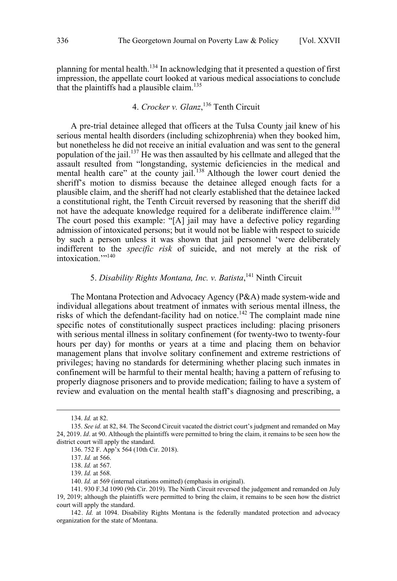<span id="page-17-0"></span>planning for mental health.134 In acknowledging that it presented a question of first impression, the appellate court looked at various medical associations to conclude that the plaintiffs had a plausible claim.<sup>135</sup>

# 4. *Crocker v. Glanz*, <sup>136</sup> Tenth Circuit

A pre-trial detainee alleged that officers at the Tulsa County jail knew of his serious mental health disorders (including schizophrenia) when they booked him, but nonetheless he did not receive an initial evaluation and was sent to the general population of the jail.<sup>137</sup> He was then assaulted by his cellmate and alleged that the assault resulted from "longstanding, systemic deficiencies in the medical and mental health care" at the county jail.<sup>138</sup> Although the lower court denied the sheriff's motion to dismiss because the detainee alleged enough facts for a plausible claim, and the sheriff had not clearly established that the detainee lacked a constitutional right, the Tenth Circuit reversed by reasoning that the sheriff did not have the adequate knowledge required for a deliberate indifference claim.<sup>139</sup> The court posed this example: "[A] jail may have a defective policy regarding admission of intoxicated persons; but it would not be liable with respect to suicide by such a person unless it was shown that jail personnel 'were deliberately indifferent to the *specific risk* of suicide, and not merely at the risk of intoxication.""<sup>140</sup>

# 5. *Disability Rights Montana, Inc. v. Batista*, <sup>141</sup> Ninth Circuit

The Montana Protection and Advocacy Agency (P&A) made system-wide and individual allegations about treatment of inmates with serious mental illness, the risks of which the defendant-facility had on notice.<sup>142</sup> The complaint made nine specific notes of constitutionally suspect practices including: placing prisoners with serious mental illness in solitary confinement (for twenty-two to twenty-four hours per day) for months or years at a time and placing them on behavior management plans that involve solitary confinement and extreme restrictions of privileges; having no standards for determining whether placing such inmates in confinement will be harmful to their mental health; having a pattern of refusing to properly diagnose prisoners and to provide medication; failing to have a system of review and evaluation on the mental health staff's diagnosing and prescribing, a

 <sup>134.</sup> *Id.* at 82.

<sup>135.</sup> *See id.* at 82, 84. The Second Circuit vacated the district court's judgment and remanded on May 24, 2019. *Id*. at 90. Although the plaintiffs were permitted to bring the claim, it remains to be seen how the district court will apply the standard.

<sup>136. 752</sup> F. App'x 564 (10th Cir. 2018).

<sup>137.</sup> *Id.* at 566.

<sup>138.</sup> *Id.* at 567.

<sup>139.</sup> *Id.* at 568.

<sup>140.</sup> *Id.* at 569 (internal citations omitted) (emphasis in original).

<sup>141. 930</sup> F.3d 1090 (9th Cir. 2019). The Ninth Circuit reversed the judgement and remanded on July 19, 2019; although the plaintiffs were permitted to bring the claim, it remains to be seen how the district court will apply the standard.

<sup>142.</sup> *Id.* at 1094. Disability Rights Montana is the federally mandated protection and advocacy organization for the state of Montana.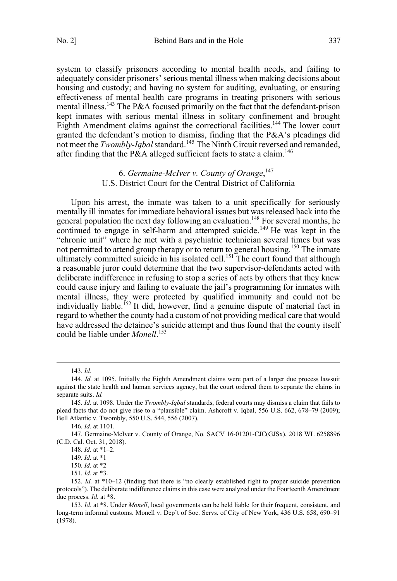<span id="page-18-0"></span>system to classify prisoners according to mental health needs, and failing to adequately consider prisoners' serious mental illness when making decisions about housing and custody; and having no system for auditing, evaluating, or ensuring effectiveness of mental health care programs in treating prisoners with serious mental illness.<sup>143</sup> The P&A focused primarily on the fact that the defendant-prison kept inmates with serious mental illness in solitary confinement and brought Eighth Amendment claims against the correctional facilities.<sup>144</sup> The lower court granted the defendant's motion to dismiss, finding that the P&A's pleadings did not meet the *Twombly-Iqbal* standard.<sup>145</sup> The Ninth Circuit reversed and remanded,

# 6. *Germaine-McIver v. County of Orange*, 147 U.S. District Court for the Central District of California

after finding that the P&A alleged sufficient facts to state a claim.<sup>146</sup>

Upon his arrest, the inmate was taken to a unit specifically for seriously mentally ill inmates for immediate behavioral issues but was released back into the general population the next day following an evaluation.<sup>148</sup> For several months, he continued to engage in self-harm and attempted suicide.<sup>149</sup> He was kept in the "chronic unit" where he met with a psychiatric technician several times but was not permitted to attend group therapy or to return to general housing.<sup>150</sup> The inmate ultimately committed suicide in his isolated cell.<sup>151</sup> The court found that although a reasonable juror could determine that the two supervisor-defendants acted with deliberate indifference in refusing to stop a series of acts by others that they knew could cause injury and failing to evaluate the jail's programming for inmates with mental illness, they were protected by qualified immunity and could not be individually liable.<sup>152</sup> It did, however, find a genuine dispute of material fact in regard to whether the county had a custom of not providing medical care that would have addressed the detainee's suicide attempt and thus found that the county itself could be liable under *Monell*. 153

143. *Id.*

<sup>144.</sup> *Id.* at 1095. Initially the Eighth Amendment claims were part of a larger due process lawsuit against the state health and human services agency, but the court ordered them to separate the claims in separate suits. *Id.*

<sup>145.</sup> *Id.* at 1098. Under the *Twombly*-*Iqbal* standards, federal courts may dismiss a claim that fails to plead facts that do not give rise to a "plausible" claim. Ashcroft v. Iqbal, 556 U.S. 662, 678–79 (2009); Bell Atlantic v. Twombly, 550 U.S. 544, 556 (2007).

<sup>146.</sup> *Id.* at 1101.

<sup>147.</sup> Germaine-McIver v. County of Orange, No. SACV 16-01201-CJC(GJSx), 2018 WL 6258896 (C.D. Cal. Oct. 31, 2018).

<sup>148.</sup> *Id.* at \*1–2.

<sup>149.</sup> *Id*. at \*1

<sup>150.</sup> *Id*. at \*2

<sup>151.</sup> *Id.* at \*3.

<sup>152.</sup> *Id.* at \*10–12 (finding that there is "no clearly established right to proper suicide prevention protocols"). The deliberate indifference claims in this case were analyzed under the Fourteenth Amendment due process. *Id.* at \*8.

<sup>153.</sup> *Id.* at \*8. Under *Monell*, local governments can be held liable for their frequent, consistent, and long-term informal customs. Monell v. Dep't of Soc. Servs. of City of New York, 436 U.S. 658, 690–91 (1978).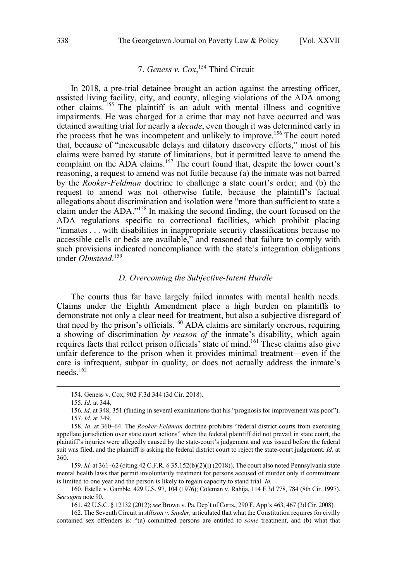# 7. *Geness v. Cox*, <sup>154</sup> Third Circuit

<span id="page-19-0"></span>In 2018, a pre-trial detainee brought an action against the arresting officer, assisted living facility, city, and county, alleging violations of the ADA among other claims. <sup>155</sup> The plaintiff is an adult with mental illness and cognitive impairments. He was charged for a crime that may not have occurred and was detained awaiting trial for nearly a *decade*, even though it was determined early in the process that he was incompetent and unlikely to improve.<sup>156</sup> The court noted that, because of "inexcusable delays and dilatory discovery efforts," most of his claims were barred by statute of limitations, but it permitted leave to amend the complaint on the ADA claims.<sup>157</sup> The court found that, despite the lower court's reasoning, a request to amend was not futile because (a) the inmate was not barred by the *Rooker-Feldman* doctrine to challenge a state court's order; and (b) the request to amend was not otherwise futile, because the plaintiff's factual allegations about discrimination and isolation were "more than sufficient to state a claim under the ADA."<sup>158</sup> In making the second finding, the court focused on the ADA regulations specific to correctional facilities, which prohibit placing "inmates . . . with disabilities in inappropriate security classifications because no accessible cells or beds are available," and reasoned that failure to comply with such provisions indicated noncompliance with the state's integration obligations under *Olmstead*. 159

#### *D. Overcoming the Subjective-Intent Hurdle*

The courts thus far have largely failed inmates with mental health needs. Claims under the Eighth Amendment place a high burden on plaintiffs to demonstrate not only a clear need for treatment, but also a subjective disregard of that need by the prison's officials.<sup>160</sup> ADA claims are similarly onerous, requiring a showing of discrimination *by reason of* the inmate's disability, which again requires facts that reflect prison officials' state of mind.161 These claims also give unfair deference to the prison when it provides minimal treatment—even if the care is infrequent, subpar in quality, or does not actually address the inmate's needs.162

 <sup>154.</sup> Geness v. Cox, 902 F.3d 344 (3d Cir. 2018).

<sup>155.</sup> *Id.* at 344.

<sup>156.</sup> *Id.* at 348, 351 (finding in several examinations that his "prognosis for improvement was poor"). 157. *Id.* at 349.

<sup>158.</sup> *Id.* at 360–64. The *Rooker-Feldman* doctrine prohibits "federal district courts from exercising appellate jurisdiction over state court actions" when the federal plaintiff did not prevail in state court, the plaintiff's injuries were allegedly caused by the state-court's judgement and was issued before the federal suit was filed, and the plaintiff is asking the federal district court to reject the state-court judgement. *Id.* at 360.

<sup>159.</sup> *Id.* at 361–62 (citing 42 C.F.R. § 35.152(b)(2)(i) (2018)). The court also noted Pennsylvania state mental health laws that permit involuntarily treatment for persons accused of murder only if commitment is limited to one year and the person is likely to regain capacity to stand trial. *Id.*

<sup>160.</sup> Estelle v. Gamble, 429 U.S. 97, 104 (1976); Coleman v. Rahija, 114 F.3d 778, 784 (8th Cir. 1997). *See supra* note 90.

<sup>161. 42</sup> U.S.C. § 12132 (2012); *see* Brown v. Pa. Dep't of Corrs., 290 F. App'x 463, 467 (3d Cir. 2008).

<sup>162.</sup> The Seventh Circuit in *Allison v. Snyder,* articulated that what the Constitution requires for civilly contained sex offenders is: "(a) committed persons are entitled to *some* treatment, and (b) what that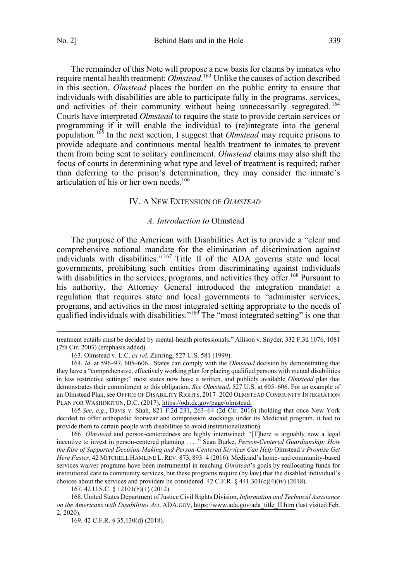<span id="page-20-0"></span>The remainder of this Note will propose a new basis for claims by inmates who require mental health treatment: *Olmstead*. <sup>163</sup> Unlike the causes of action described in this section, *Olmstead* places the burden on the public entity to ensure that individuals with disabilities are able to participate fully in the programs, services, and activities of their community without being unnecessarily segregated.<sup>164</sup> Courts have interpreted *Olmstead* to require the state to provide certain services or

programming if it will enable the individual to (re)integrate into the general population.165 In the next section, I suggest that *Olmstead* may require prisons to provide adequate and continuous mental health treatment to inmates to prevent them from being sent to solitary confinement. *Olmstead* claims may also shift the focus of courts in determining what type and level of treatment is required; rather than deferring to the prison's determination, they may consider the inmate's articulation of his or her own needs.<sup>166</sup>

### IV. A NEW EXTENSION OF *OLMSTEAD*

#### *A. Introduction to* Olmstead

The purpose of the American with Disabilities Act is to provide a "clear and comprehensive national mandate for the elimination of discrimination against individuals with disabilities." <sup>167</sup> Title II of the ADA governs state and local governments, prohibiting such entities from discriminating against individuals with disabilities in the services, programs, and activities they offer.<sup>168</sup> Pursuant to his authority, the Attorney General introduced the integration mandate: a regulation that requires state and local governments to "administer services, programs, and activities in the most integrated setting appropriate to the needs of qualified individuals with disabilities."<sup>169</sup> The "most integrated setting" is one that

165 *See, e.g*., Davis v. Shah, 821 F.2d 231, 263–64 (2d Cir. 2016) (holding that once New York decided to offer orthopedic footwear and compression stockings under its Medicaid program, it had to provide them to certain people with disabilities to avoid institutionalization).

166. *Olmstead* and person-centeredness are highly intertwined: "[T]here is arguably now a legal incentive to invest in person-centered planning . . . ." Sean Burke, *Person-Centered Guardianship: How the Rise of Supported Decision-Making and Person-Centered Services Can Help* Olmstead*'s Promise Get Here Faster*, 42 MITCHELL HAMLINE L.REV. 873, 893–4 (2016). Medicaid's home- and community-based services waiver programs have been instrumental in reaching *Olmstead*'s goals by reallocating funds for institutional care to community services, but these programs require (by law) that the disabled individual's choices about the services and providers be considered. 42 C.F.R. § 441.301(c)(4)(iv) (2018).

167. 42 U.S.C. § 12101(b)(1) (2012).

168. United States Department of Justice Civil Rights Division, *Information and Technical Assistance on the Americans with Disabilities Act*, ADA.GOV, [https://www.ada.gov/ada\\_title\\_II.htm \(](https://www.ada.gov/ada_title_II.htm)last visited Feb. 2, 2020).

169. 42 C.F.R. § 35.130(d) (2018).

treatment entails must be decided by mental-health professionals." Allison v. Snyder, 332 F.3d 1076, 1081 (7th Cir. 2003) (emphasis added).

<sup>163.</sup> Olmstead v. L.C. *ex rel.* Zimring, 527 U.S. 581 (1999).

<sup>164.</sup> *Id.* at 596–97, 605–606. States can comply with the *Olmstead* decision by demonstrating that they have a "comprehensive, effectively working plan for placing qualified persons with mental disabilities in less restrictive settings;" most states now have a written, and publicly available *Olmstead* plan that demonstrates their commitment to this obligation. *See Olmstead*, 527 U.S. at 605–606. For an example of an Olmstead Plan, see OFFICE OF DISABILITY RIGHTS, 2017–2020 OLMSTEAD COMMUNITY INTEGRATION PLAN FOR WASHINGTON, D.C. (2017), [https://odr.dc.gov/page/olmstead.](https://odr.dc.gov/page/olmstead)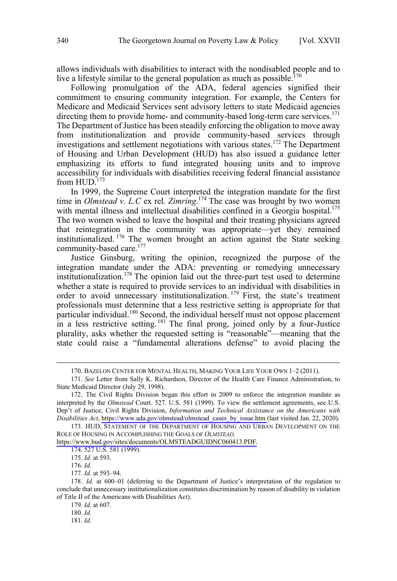allows individuals with disabilities to interact with the nondisabled people and to live a lifestyle similar to the general population as much as possible.<sup>170</sup>

Following promulgation of the ADA, federal agencies signified their commitment to ensuring community integration. For example, the Centers for Medicare and Medicaid Services sent advisory letters to state Medicaid agencies directing them to provide home- and community-based long-term care services.<sup>171</sup> The Department of Justice has been steadily enforcing the obligation to move away from institutionalization and provide community-based services through investigations and settlement negotiations with various states.172 The Department of Housing and Urban Development (HUD) has also issued a guidance letter emphasizing its efforts to fund integrated housing units and to improve accessibility for individuals with disabilities receiving federal financial assistance from  $HUD$ .<sup>173</sup>

In 1999, the Supreme Court interpreted the integration mandate for the first time in *Olmstead v. L.C* ex rel*. Zimring*. <sup>174</sup> The case was brought by two women with mental illness and intellectual disabilities confined in a Georgia hospital.<sup>175</sup> The two women wished to leave the hospital and their treating physicians agreed that reintegration in the community was appropriate—yet they remained institutionalized. <sup>176</sup> The women brought an action against the State seeking community-based care.<sup>177</sup>

Justice Ginsburg, writing the opinion, recognized the purpose of the integration mandate under the ADA: preventing or remedying unnecessary institutionalization.<sup>178</sup> The opinion laid out the three-part test used to determine whether a state is required to provide services to an individual with disabilities in order to avoid unnecessary institutionalization. <sup>179</sup> First, the state's treatment professionals must determine that a less restrictive setting is appropriate for that particular individual.<sup>180</sup> Second, the individual herself must not oppose placement in a less restrictive setting. <sup>181</sup> The final prong, joined only by a four-Justice plurality, asks whether the requested setting is "reasonable"—meaning that the state could raise a "fundamental alterations defense" to avoid placing the

[https://www.hud.gov/sites/documents/OLMSTEADGUIDNC060413.PDF.](https://www.hud.gov/sites/documents/OLMSTEADGUIDNC060413.PDF)

 <sup>170.</sup> BAZELON CENTER FOR MENTAL HEALTH, MAKING YOUR LIFE YOUR OWN 1–2 (2011).

<sup>171.</sup> *See* Letter from Sally K. Richardson, Director of the Health Care Finance Administration, to State Medicaid Director (July 29, 1998).

<sup>172.</sup> The Civil Rights Division began this effort in 2009 to enforce the integration mandate as interpreted by the *Olmstead* Court. 527. U.S. 581 (1999). To view the settlement agreements, see U.S. Dep't of Justice, Civil Rights Division, *Information and Technical Assistance on the Americans with Disabilities Act*, [https://www.ada.gov/olmstead/olmstead\\_cases\\_by\\_issue.htm](https://www.ada.gov/olmstead/olmstead_cases_by_issue.htm) (last visited Jan. 22, 2020).

<sup>173.</sup> HUD, STATEMENT OF THE DEPARTMENT OF HOUSING AND URBAN DEVELOPMENT ON THE ROLE OF HOUSING IN ACCOMPLISHING THE GOALS OF *OLMSTEAD,* 

<sup>174. 527</sup> U.S. 581 (1999).

<sup>175.</sup> *Id.* at 593.

<sup>176.</sup> *Id*.

<sup>177.</sup> *Id.* at 593–94.

<sup>178.</sup> *Id.* at 600–01 (deferring to the Department of Justice's interpretation of the regulation to conclude that unnecessary institutionalization constitutes discrimination by reason of disability in violation of Title II of the Americans with Disabilities Act).

<sup>179.</sup> *Id.* at 607.

<sup>180.</sup> *Id.*

<sup>181.</sup> *Id.*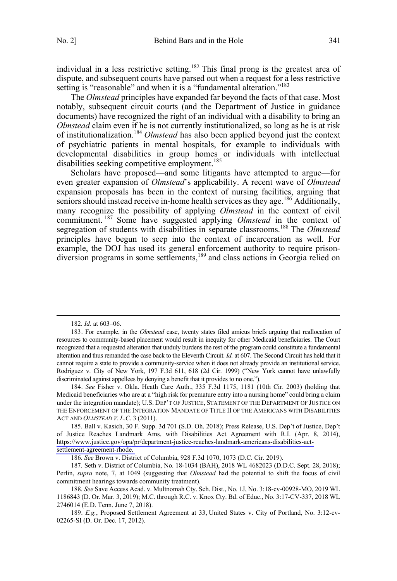individual in a less restrictive setting.<sup>182</sup> This final prong is the greatest area of dispute, and subsequent courts have parsed out when a request for a less restrictive setting is "reasonable" and when it is a "fundamental alteration."<sup>183</sup>

The *Olmstead* principles have expanded far beyond the facts of that case. Most notably, subsequent circuit courts (and the Department of Justice in guidance documents) have recognized the right of an individual with a disability to bring an *Olmstead* claim even if he is not currently institutionalized, so long as he is at risk of institutionalization.184 *Olmstead* has also been applied beyond just the context of psychiatric patients in mental hospitals, for example to individuals with developmental disabilities in group homes or individuals with intellectual disabilities seeking competitive employment.<sup>185</sup>

Scholars have proposed—and some litigants have attempted to argue—for even greater expansion of *Olmstead*'s applicability. A recent wave of *Olmstead* expansion proposals has been in the context of nursing facilities, arguing that seniors should instead receive in-home health services as they age.<sup>186</sup> Additionally, many recognize the possibility of applying *Olmstead* in the context of civil commitment. <sup>187</sup> Some have suggested applying *Olmstead* in the context of segregation of students with disabilities in separate classrooms.<sup>188</sup> The *Olmstead* principles have begun to seep into the context of incarceration as well. For example, the DOJ has used its general enforcement authority to require prisondiversion programs in some settlements,<sup>189</sup> and class actions in Georgia relied on

 <sup>182.</sup> *Id.* at 603–06.

<sup>183.</sup> For example, in the *Olmstead* case, twenty states filed amicus briefs arguing that reallocation of resources to community-based placement would result in inequity for other Medicaid beneficiaries. The Court recognized that a requested alteration that unduly burdens the rest of the program could constitute a fundamental alteration and thus remanded the case back to the Eleventh Circuit. *Id.* at 607. The Second Circuit has held that it cannot require a state to provide a community-service when it does not already provide an institutional service. Rodriguez v. City of New York, 197 F.3d 611, 618 (2d Cir. 1999) ("New York cannot have unlawfully discriminated against appellees by denying a benefit that it provides to no one.").

<sup>184.</sup> *See* Fisher v. Okla. Heath Care Auth., 335 F.3d 1175, 1181 (10th Cir. 2003) (holding that Medicaid beneficiaries who are at a "high risk for premature entry into a nursing home" could bring a claim under the integration mandate); U.S. DEP'T OF JUSTICE, STATEMENT OF THE DEPARTMENT OF JUSTICE ON THE ENFORCEMENT OF THE INTEGRATION MANDATE OF TITLE II OF THE AMERICANS WITH DISABILITIES ACT AND *OLMSTEAD V. L.C*. 3 (2011).

<sup>185.</sup> Ball v. Kasich, 30 F. Supp. 3d 701 (S.D. Oh. 2018); Press Release, U.S. Dep't of Justice, Dep't of Justice Reaches Landmark Ams. with Disabilities Act Agreement with R.I. (Apr. 8, 2014), [https://www.justice.gov/opa/pr/department-justice-reaches-landmark-americans-disabilities-act](https://www.justice.gov/opa/pr/department-justice-reaches-landmark-americans-disabilities-act-settlement-agreement-rhode)[settlement-agreement-rhode.](https://www.justice.gov/opa/pr/department-justice-reaches-landmark-americans-disabilities-act-settlement-agreement-rhode) 

<sup>186.</sup> *See* Brown v. District of Columbia, 928 F.3d 1070, 1073 (D.C. Cir. 2019).

<sup>187.</sup> Seth v. District of Columbia, No. 18-1034 (BAH), 2018 WL 4682023 (D.D.C. Sept. 28, 2018); Perlin, *supra* note, 7, at 1049 (suggesting that *Olmstead* had the potential to shift the focus of civil commitment hearings towards community treatment).

<sup>188.</sup> *See* Save Access Acad. v. Multnomah Cty. Sch. Dist., No. 1J, No. 3:18-cv-00928-MO, 2019 WL 1186843 (D. Or. Mar. 3, 2019); M.C. through R.C. v. Knox Cty. Bd. of Educ., No. 3:17-CV-337, 2018 WL 2746014 (E.D. Tenn. June 7, 2018).

<sup>189.</sup> *E.g.*, Proposed Settlement Agreement at 33, United States v. City of Portland, No. 3:12-cv-02265-SI (D. Or. Dec. 17, 2012).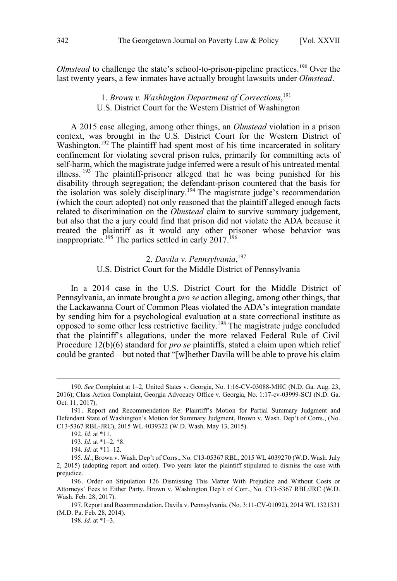<span id="page-23-0"></span>*Olmstead* to challenge the state's school-to-prison-pipeline practices.<sup>190</sup> Over the last twenty years, a few inmates have actually brought lawsuits under *Olmstead*.

# 1. *Brown v. Washington Department of Corrections*, 191 U.S. District Court for the Western District of Washington

A 2015 case alleging, among other things, an *Olmstead* violation in a prison context, was brought in the U.S. District Court for the Western District of Washington.<sup>192</sup> The plaintiff had spent most of his time incarcerated in solitary confinement for violating several prison rules, primarily for committing acts of self-harm, which the magistrate judge inferred were a result of his untreated mental illness.  $193$  The plaintiff-prisoner alleged that he was being punished for his disability through segregation; the defendant-prison countered that the basis for the isolation was solely disciplinary.<sup>194</sup> The magistrate judge's recommendation (which the court adopted) not only reasoned that the plaintiff alleged enough facts related to discrimination on the *Olmstead* claim to survive summary judgement, but also that the a jury could find that prison did not violate the ADA because it treated the plaintiff as it would any other prisoner whose behavior was inappropriate.<sup>195</sup> The parties settled in early 2017.<sup>196</sup>

## 2. *Davila v. Pennsylvania*, 197 U.S. District Court for the Middle District of Pennsylvania

In a 2014 case in the U.S. District Court for the Middle District of Pennsylvania, an inmate brought a *pro se* action alleging, among other things, that the Lackawanna Court of Common Pleas violated the ADA's integration mandate by sending him for a psychological evaluation at a state correctional institute as opposed to some other less restrictive facility.198 The magistrate judge concluded that the plaintiff's allegations, under the more relaxed Federal Rule of Civil Procedure 12(b)(6) standard for *pro se* plaintiffs, stated a claim upon which relief could be granted—but noted that "[w]hether Davila will be able to prove his claim

 <sup>190.</sup> *See* Complaint at 1–2, United States v. Georgia, No. 1:16-CV-03088-MHC (N.D. Ga. Aug. 23, 2016); Class Action Complaint, Georgia Advocacy Office v. Georgia, No. 1:17-cv-03999-SCJ (N.D. Ga. Oct. 11, 2017).

<sup>191 .</sup> Report and Recommendation Re: Plaintiff's Motion for Partial Summary Judgment and Defendant State of Washington's Motion for Summary Judgment, Brown v. Wash. Dep't of Corrs., (No. C13-5367 RBL-JRC), 2015 WL 4039322 (W.D. Wash. May 13, 2015).

<sup>192.</sup> *Id.* at \*11.

<sup>193.</sup> *Id.* at \*1–2, \*8.

<sup>194.</sup> *Id.* at \*11–12.

<sup>195.</sup> *Id.*; Brown v. Wash. Dep't of Corrs., No. C13-05367 RBL, 2015 WL 4039270 (W.D. Wash. July 2, 2015) (adopting report and order). Two years later the plaintiff stipulated to dismiss the case with prejudice.

<sup>196 .</sup> Order on Stipulation 126 Dismissing This Matter With Prejudice and Without Costs or Attorneys' Fees to Either Party, Brown v. Washington Dep't of Corr., No. C13-5367 RBL/JRC (W.D. Wash. Feb. 28, 2017).

<sup>197.</sup> Report and Recommendation, Davila v. Pennsylvania, (No. 3:11-CV-01092), 2014 WL 1321331 (M.D. Pa. Feb. 28, 2014).

<sup>198.</sup> *Id.* at \*1–3.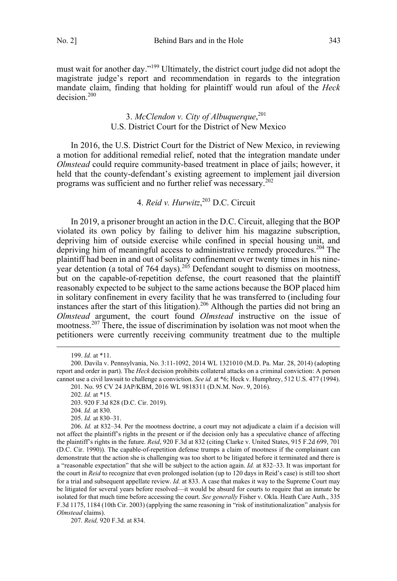<span id="page-24-0"></span>must wait for another day."199 Ultimately, the district court judge did not adopt the magistrate judge's report and recommendation in regards to the integration mandate claim, finding that holding for plaintiff would run afoul of the *Heck* decision.<sup>200</sup>

# 3. *McClendon v. City of Albuquerque*, 201 U.S. District Court for the District of New Mexico

In 2016, the U.S. District Court for the District of New Mexico, in reviewing a motion for additional remedial relief, noted that the integration mandate under *Olmstead* could require community-based treatment in place of jails; however, it held that the county-defendant's existing agreement to implement jail diversion programs was sufficient and no further relief was necessary.<sup>202</sup>

4. *Reid v. Hurwitz*, <sup>203</sup> D.C. Circuit

In 2019, a prisoner brought an action in the D.C. Circuit, alleging that the BOP violated its own policy by failing to deliver him his magazine subscription, depriving him of outside exercise while confined in special housing unit, and depriving him of meaningful access to administrative remedy procedures.<sup>204</sup> The plaintiff had been in and out of solitary confinement over twenty times in his nineyear detention (a total of 764 days).<sup>205</sup> Defendant sought to dismiss on mootness, but on the capable-of-repetition defense, the court reasoned that the plaintiff reasonably expected to be subject to the same actions because the BOP placed him in solitary confinement in every facility that he was transferred to (including four instances after the start of this litigation).<sup>206</sup> Although the parties did not bring an *Olmstead* argument, the court found *Olmstead* instructive on the issue of mootness.<sup>207</sup> There, the issue of discrimination by isolation was not moot when the petitioners were currently receiving community treatment due to the multiple

207. *Reid,* 920 F.3d*.* at 834.

 <sup>199.</sup> *Id.* at \*11.

<sup>200.</sup> Davila v. Pennsylvania, No. 3:11-1092, 2014 WL 1321010 (M.D. Pa. Mar. 28, 2014) (adopting report and order in part). The *Heck* decision prohibits collateral attacks on a criminal conviction: A person cannot use a civil lawsuit to challenge a conviction. *See id.* at \*6; Heck v. Humphrey, 512 U.S. 477 (1994).

<sup>201.</sup> No. 95 CV 24 JAP/KBM, 2016 WL 9818311 (D.N.M. Nov. 9, 2016).

<sup>202.</sup> *Id.* at \*15.

<sup>203. 920</sup> F.3d 828 (D.C. Cir. 2019).

<sup>204.</sup> *Id.* at 830.

<sup>205.</sup> *Id.* at 830–31.

<sup>206.</sup> *Id.* at 832–34. Per the mootness doctrine, a court may not adjudicate a claim if a decision will not affect the plaintiff's rights in the present or if the decision only has a speculative chance of affecting the plaintiff's rights in the future. *Reid*, 920 F.3d at 832 (citing Clarke v. United States, 915 F.2d 699, 701 (D.C. Cir. 1990)). The capable-of-repetition defense trumps a claim of mootness if the complainant can demonstrate that the action she is challenging was too short to be litigated before it terminated and there is a "reasonable expectation" that she will be subject to the action again. *Id.* at 832–33. It was important for the court in *Reid* to recognize that even prolonged isolation (up to 120 days in Reid's case) is still too short for a trial and subsequent appellate review. *Id.* at 833. A case that makes it way to the Supreme Court may be litigated for several years before resolved—it would be absurd for courts to require that an inmate be isolated for that much time before accessing the court. *See generally* Fisher v. Okla. Heath Care Auth., 335 F.3d 1175, 1184 (10th Cir. 2003) (applying the same reasoning in "risk of institutionalization" analysis for *Olmstead* claims).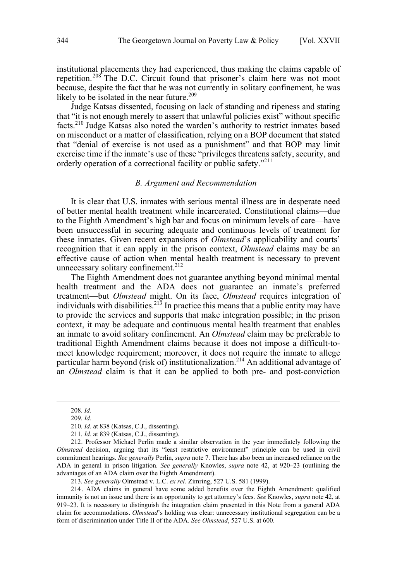<span id="page-25-0"></span>institutional placements they had experienced, thus making the claims capable of repetition.<sup>208</sup> The D.C. Circuit found that prisoner's claim here was not moot because, despite the fact that he was not currently in solitary confinement, he was likely to be isolated in the near future.<sup>209</sup>

Judge Katsas dissented, focusing on lack of standing and ripeness and stating that "it is not enough merely to assert that unlawful policies exist" without specific facts.<sup>210</sup> Judge Katsas also noted the warden's authority to restrict inmates based on misconduct or a matter of classification, relying on a BOP document that stated that "denial of exercise is not used as a punishment" and that BOP may limit exercise time if the inmate's use of these "privileges threatens safety, security, and orderly operation of a correctional facility or public safety."<sup>211</sup>

#### *B. Argument and Recommendation*

It is clear that U.S. inmates with serious mental illness are in desperate need of better mental health treatment while incarcerated. Constitutional claims—due to the Eighth Amendment's high bar and focus on minimum levels of care—have been unsuccessful in securing adequate and continuous levels of treatment for these inmates. Given recent expansions of *Olmstead*'s applicability and courts' recognition that it can apply in the prison context, *Olmstead* claims may be an effective cause of action when mental health treatment is necessary to prevent unnecessary solitary confinement.<sup>212</sup>

The Eighth Amendment does not guarantee anything beyond minimal mental health treatment and the ADA does not guarantee an inmate's preferred treatment—but *Olmstead* might. On its face, *Olmstead* requires integration of individuals with disabilities.<sup>213</sup> In practice this means that a public entity may have to provide the services and supports that make integration possible; in the prison context, it may be adequate and continuous mental health treatment that enables an inmate to avoid solitary confinement. An *Olmstead* claim may be preferable to traditional Eighth Amendment claims because it does not impose a difficult-tomeet knowledge requirement; moreover, it does not require the inmate to allege particular harm beyond (risk of) institutionalization.<sup>214</sup> An additional advantage of an *Olmstead* claim is that it can be applied to both pre- and post-conviction

 <sup>208.</sup> *Id.* 

<sup>209.</sup> *Id.*

<sup>210.</sup> *Id.* at 838 (Katsas, C.J., dissenting).

<sup>211.</sup> *Id.* at 839 (Katsas, C.J., dissenting).

<sup>212.</sup> Professor Michael Perlin made a similar observation in the year immediately following the *Olmstead* decision, arguing that its "least restrictive environment" principle can be used in civil commitment hearings. *See generally* Perlin, *supra* note 7. There has also been an increased reliance on the ADA in general in prison litigation. *See generally* Knowles, *supra* note 42, at 920–23 (outlining the advantages of an ADA claim over the Eighth Amendment).

<sup>213.</sup> *See generally* Olmstead v. L.C. *ex rel.* Zimring, 527 U.S. 581 (1999).

<sup>214.</sup> ADA claims in general have some added benefits over the Eighth Amendment: qualified immunity is not an issue and there is an opportunity to get attorney's fees. *See* Knowles, *supra* note 42, at 919–23. It is necessary to distinguish the integration claim presented in this Note from a general ADA claim for accommodations. *Olmstead*'s holding was clear: unnecessary institutional segregation can be a form of discrimination under Title II of the ADA. *See Olmstead*, 527 U.S. at 600.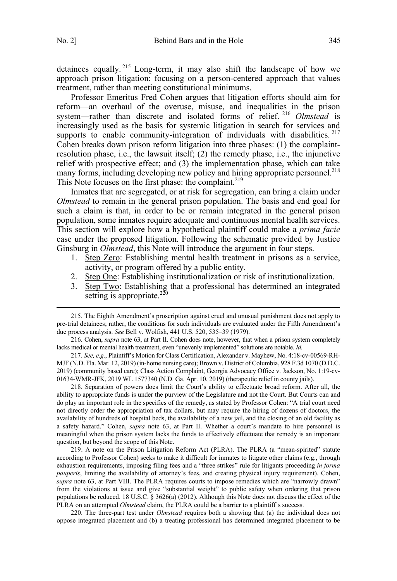detainees equally. <sup>215</sup> Long-term, it may also shift the landscape of how we approach prison litigation: focusing on a person-centered approach that values treatment, rather than meeting constitutional minimums.

Professor Emeritus Fred Cohen argues that litigation efforts should aim for reform—an overhaul of the overuse, misuse, and inequalities in the prison system—rather than discrete and isolated forms of relief. <sup>216</sup> *Olmstead* is increasingly used as the basis for systemic litigation in search for services and supports to enable community-integration of individuals with disabilities.  $217$ Cohen breaks down prison reform litigation into three phases: (1) the complaintresolution phase, i.e., the lawsuit itself; (2) the remedy phase, i.e., the injunctive relief with prospective effect; and (3) the implementation phase, which can take many forms, including developing new policy and hiring appropriate personnel.<sup>218</sup> This Note focuses on the first phase: the complaint.<sup>219</sup>

Inmates that are segregated, or at risk for segregation, can bring a claim under *Olmstead* to remain in the general prison population. The basis and end goal for such a claim is that, in order to be or remain integrated in the general prison population, some inmates require adequate and continuous mental health services. This section will explore how a hypothetical plaintiff could make a *prima facie* case under the proposed litigation. Following the schematic provided by Justice Ginsburg in *Olmstead*, this Note will introduce the argument in four steps.

- 1. Step Zero: Establishing mental health treatment in prisons as a service, activity, or program offered by a public entity.
- 2. Step One: Establishing institutionalization or risk of institutionalization.
- 3. Step Two: Establishing that a professional has determined an integrated setting is appropriate. $^{220}$

 215. The Eighth Amendment's proscription against cruel and unusual punishment does not apply to pre-trial detainees; rather, the conditions for such individuals are evaluated under the Fifth Amendment's due process analysis. *See* Bell v. Wolfish, 441 U.S. 520, 535–39 (1979).

216. Cohen, *supra* note 63, at Part II. Cohen does note, however, that when a prison system completely lacks medical or mental health treatment, even "unevenly implemented" solutions are notable. *Id.*

217. *See, e.g.*, Plaintiff's Motion for Class Certification, Alexander v. Mayhew, No. 4:18-cv-00569-RH-MJF (N.D. Fla. Mar. 12, 2019) (in-home nursing care); Brown v. District of Columbia, 928 F.3d 1070 (D.D.C. 2019) (community based care); Class Action Complaint, Georgia Advocacy Office v. Jackson, No. 1:19-cv-01634-WMR-JFK, 2019 WL 1577340 (N.D. Ga. Apr. 10, 2019) (therapeutic relief in county jails).

218. Separation of powers does limit the Court's ability to effectuate broad reform. After all, the ability to appropriate funds is under the purview of the Legislature and not the Court. But Courts can and do play an important role in the specifics of the remedy, as stated by Professor Cohen: "A trial court need not directly order the appropriation of tax dollars, but may require the hiring of dozens of doctors, the availability of hundreds of hospital beds, the availability of a new jail, and the closing of an old facility as a safety hazard." Cohen, *supra* note 63, at Part II. Whether a court's mandate to hire personnel is meaningful when the prison system lacks the funds to effectively effectuate that remedy is an important question, but beyond the scope of this Note.

219. A note on the Prison Litigation Reform Act (PLRA). The PLRA (a "mean-spirited" statute according to Professor Cohen) seeks to make it difficult for inmates to litigate other claims (e.g., through exhaustion requirements, imposing filing fees and a "three strikes" rule for litigants proceeding *in forma pauperis*, limiting the availability of attorney's fees, and creating physical injury requirement). Cohen, *supra* note 63, at Part VIII. The PLRA requires courts to impose remedies which are "narrowly drawn" from the violations at issue and give "substantial weight" to public safety when ordering that prison populations be reduced. 18 U.S.C. § 3626(a) (2012). Although this Note does not discuss the effect of the PLRA on an attempted *Olmstead* claim, the PLRA could be a barrier to a plaintiff's success.

220. The three-part test under *Olmstead* requires both a showing that (a) the individual does not oppose integrated placement and (b) a treating professional has determined integrated placement to be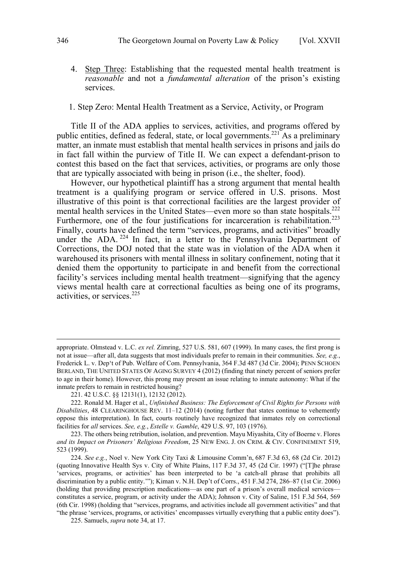<span id="page-27-0"></span>4. Step Three: Establishing that the requested mental health treatment is *reasonable* and not a *fundamental alteration* of the prison's existing services.

#### 1. Step Zero: Mental Health Treatment as a Service, Activity, or Program

Title II of the ADA applies to services, activities, and programs offered by public entities, defined as federal, state, or local governments.<sup>221</sup> As a preliminary matter, an inmate must establish that mental health services in prisons and jails do in fact fall within the purview of Title II. We can expect a defendant-prison to contest this based on the fact that services, activities, or programs are only those that are typically associated with being in prison (i.e., the shelter, food).

However, our hypothetical plaintiff has a strong argument that mental health treatment is a qualifying program or service offered in U.S. prisons. Most illustrative of this point is that correctional facilities are the largest provider of mental health services in the United States—even more so than state hospitals.<sup>222</sup> Furthermore, one of the four justifications for incarceration is rehabilitation.<sup>223</sup> Finally, courts have defined the term "services, programs, and activities" broadly under the ADA.<sup>224</sup> In fact, in a letter to the Pennsylvania Department of Corrections, the DOJ noted that the state was in violation of the ADA when it warehoused its prisoners with mental illness in solitary confinement, noting that it denied them the opportunity to participate in and benefit from the correctional facility's services including mental health treatment—signifying that the agency views mental health care at correctional faculties as being one of its programs, activities, or services.<sup>225</sup>

appropriate. Olmstead v. L.C. *ex rel.* Zimring, 527 U.S. 581, 607 (1999). In many cases, the first prong is not at issue—after all, data suggests that most individuals prefer to remain in their communities. *See, e.g.*, Frederick L. v. Dep't of Pub. Welfare of Com. Pennsylvania, 364 F.3d 487 (3d Cir. 2004); PENN SCHOEN BERLAND, THE UNITED STATES OF AGING SURVEY 4 (2012) (finding that ninety percent of seniors prefer to age in their home). However, this prong may present an issue relating to inmate autonomy: What if the inmate prefers to remain in restricted housing?

<sup>221. 42</sup> U.S.C. §§ 12131(1), 12132 (2012).

<sup>222.</sup> Ronald M. Hager et al., *Unfinished Business: The Enforcement of Civil Rights for Persons with Disabilities*, 48 CLEARINGHOUSE REV. 11–12 (2014) (noting further that states continue to vehemently oppose this interpretation). In fact, courts routinely have recognized that inmates rely on correctional facilities for *all* services. *See, e.g.*, *Estelle v. Gamble*, 429 U.S. 97, 103 (1976).

<sup>223.</sup> The others being retribution, isolation, and prevention. Mayu Miyashita, City of Boerne v. Flores *and its Impact on Prisoners' Religious Freedom*, 25 NEW ENG. J. ON CRIM. & CIV. CONFINEMENT 519, 523 (1999).

<sup>224.</sup> *See e.g.*, Noel v. New York City Taxi & Limousine Comm'n, 687 F.3d 63, 68 (2d Cir. 2012) (quoting Innovative Health Sys v. City of White Plains, 117 F.3d 37, 45 (2d Cir. 1997) ("[T]he phrase 'services, programs, or activities' has been interpreted to be 'a catch-all phrase that prohibits all discrimination by a public entity.'"); Kiman v. N.H. Dep't of Corrs., 451 F.3d 274, 286–87 (1st Cir. 2006) (holding that providing prescription medications—as one part of a prison's overall medical services constitutes a service, program, or activity under the ADA); Johnson v. City of Saline, 151 F.3d 564, 569 (6th Cir. 1998) (holding that "services, programs, and activities include all government activities" and that "the phrase 'services, programs, or activities' encompasses virtually everything that a public entity does").

<sup>225.</sup> Samuels, *supra* note 34, at 17.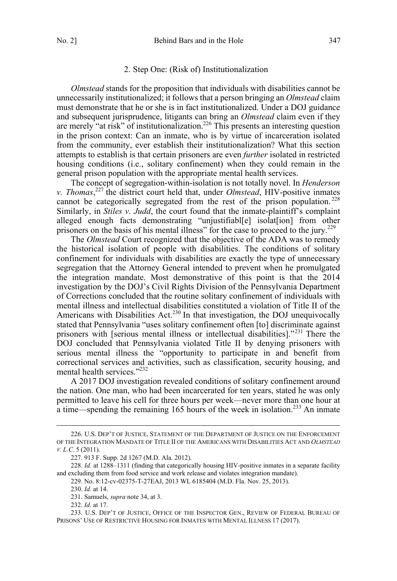#### 2. Step One: (Risk of) Institutionalization

<span id="page-28-0"></span>*Olmstead* stands for the proposition that individuals with disabilities cannot be unnecessarily institutionalized; it follows that a person bringing an *Olmstead* claim must demonstrate that he or she is in fact institutionalized. Under a DOJ guidance and subsequent jurisprudence, litigants can bring an *Olmstead* claim even if they are merely "at risk" of institutionalization.<sup>226</sup> This presents an interesting question in the prison context: Can an inmate, who is by virtue of incarceration isolated from the community, ever establish their institutionalization? What this section attempts to establish is that certain prisoners are even *further* isolated in restricted housing conditions (i.e., solitary confinement) when they could remain in the general prison population with the appropriate mental health services.

The concept of segregation-within-isolation is not totally novel. In *Henderson v. Thomas*, <sup>227</sup> the district court held that, under *Olmstead*, HIV-positive inmates cannot be categorically segregated from the rest of the prison population.<sup>228</sup> Similarly, in *Stiles v. Judd*, the court found that the inmate-plaintiff's complaint alleged enough facts demonstrating "unjustifiabl[e] isolat[ion] from other prisoners on the basis of his mental illness" for the case to proceed to the jury.<sup>229</sup>

The *Olmstead* Court recognized that the objective of the ADA was to remedy the historical isolation of people with disabilities. The conditions of solitary confinement for individuals with disabilities are exactly the type of unnecessary segregation that the Attorney General intended to prevent when he promulgated the integration mandate. Most demonstrative of this point is that the 2014 investigation by the DOJ's Civil Rights Division of the Pennsylvania Department of Corrections concluded that the routine solitary confinement of individuals with mental illness and intellectual disabilities constituted a violation of Title II of the Americans with Disabilities Act.<sup>230</sup> In that investigation, the DOJ unequivocally stated that Pennsylvania "uses solitary confinement often [to] discriminate against prisoners with [serious mental illness or intellectual disabilities]."<sup>231</sup> There the DOJ concluded that Pennsylvania violated Title II by denying prisoners with serious mental illness the "opportunity to participate in and benefit from correctional services and activities, such as classification, security housing, and mental health services."<sup>232</sup>

A 2017 DOJ investigation revealed conditions of solitary confinement around the nation. One man, who had been incarcerated for ten years, stated he was only permitted to leave his cell for three hours per week—never more than one hour at a time—spending the remaining 165 hours of the week in isolation.<sup>233</sup> An inmate

 <sup>226.</sup> U.S. DEP'T OF JUSTICE, STATEMENT OF THE DEPARTMENT OF JUSTICE ON THE ENFORCEMENT OF THE INTEGRATION MANDATE OF TITLE II OF THE AMERICANS WITH DISABILITIES ACT AND *OLMSTEAD V. L.C*. 5 (2011).

<sup>227. 913</sup> F. Supp. 2d 1267 (M.D. Ala. 2012).

<sup>228.</sup> *Id.* at 1288–1311 (finding that categorically housing HIV-positive inmates in a separate facility and excluding them from food service and work release and violates integration mandate).

<sup>229.</sup> No. 8:12-cv-02375-T-27EAJ, 2013 WL 6185404 (M.D. Fla. Nov. 25, 2013).

<sup>230.</sup> *Id.* at 14.

<sup>231.</sup> Samuels, *supra* note 34, at 3.

<sup>232.</sup> *Id*. at 17.

<sup>233.</sup> U.S. DEP'T OF JUSTICE, OFFICE OF THE INSPECTOR GEN., REVIEW OF FEDERAL BUREAU OF PRISONS' USE OF RESTRICTIVE HOUSING FOR INMATES WITH MENTAL ILLNESS 17 (2017).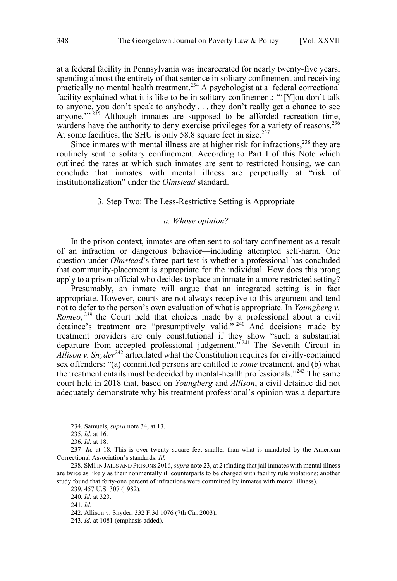<span id="page-29-0"></span>at a federal facility in Pennsylvania was incarcerated for nearly twenty-five years, spending almost the entirety of that sentence in solitary confinement and receiving practically no mental health treatment.<sup>234</sup> A psychologist at a federal correctional facility explained what it is like to be in solitary confinement: "'[Y]ou don't talk to anyone, you don't speak to anybody . . . they don't really get a chance to see anyone." $235$  Although inmates are supposed to be afforded recreation time, wardens have the authority to deny exercise privileges for a variety of reasons.<sup>236</sup> At some facilities, the SHU is only 58.8 square feet in size.<sup>237</sup>

Since inmates with mental illness are at higher risk for infractions, $^{238}$  they are routinely sent to solitary confinement. According to Part I of this Note which outlined the rates at which such inmates are sent to restricted housing, we can conclude that inmates with mental illness are perpetually at "risk of institutionalization" under the *Olmstead* standard.

#### 3. Step Two: The Less-Restrictive Setting is Appropriate

#### *a. Whose opinion?*

In the prison context, inmates are often sent to solitary confinement as a result of an infraction or dangerous behavior—including attempted self-harm. One question under *Olmstead*'s three-part test is whether a professional has concluded that community-placement is appropriate for the individual. How does this prong apply to a prison official who decides to place an inmate in a more restricted setting?

Presumably, an inmate will argue that an integrated setting is in fact appropriate. However, courts are not always receptive to this argument and tend not to defer to the person's own evaluation of what is appropriate. In *Youngberg v.*  Romeo,<sup>239</sup> the Court held that choices made by a professional about a civil detainee's treatment are "presumptively valid."<sup>240</sup> And decisions made by treatment providers are only constitutional if they show "such a substantial departure from accepted professional judgement."<sup>241</sup> The Seventh Circuit in *Allison v. Snyder*<sup>242</sup> articulated what the Constitution requires for civilly-contained sex offenders: "(a) committed persons are entitled to *some* treatment, and (b) what the treatment entails must be decided by mental-health professionals."<sup>243</sup> The same court held in 2018 that, based on *Youngberg* and *Allison*, a civil detainee did not adequately demonstrate why his treatment professional's opinion was a departure

243. *Id.* at 1081 (emphasis added).

 <sup>234.</sup> Samuels, *supra* note 34, at 13.

<sup>235.</sup> *Id.* at 16.

<sup>236.</sup> *Id.* at 18.

<sup>237.</sup> *Id.* at 18. This is over twenty square feet smaller than what is mandated by the American Correctional Association's standards. *Id.*

<sup>238.</sup> SMI IN JAILS AND PRISONS 2016, *supra* note 23, at 2 (finding that jail inmates with mental illness are twice as likely as their nonmentally ill counterparts to be charged with facility rule violations; another study found that forty-one percent of infractions were committed by inmates with mental illness).

<sup>239. 457</sup> U.S. 307 (1982).

<sup>240.</sup> *Id.* at 323.

<sup>241.</sup> *Id.*

<sup>242.</sup> Allison v. Snyder, 332 F.3d 1076 (7th Cir. 2003).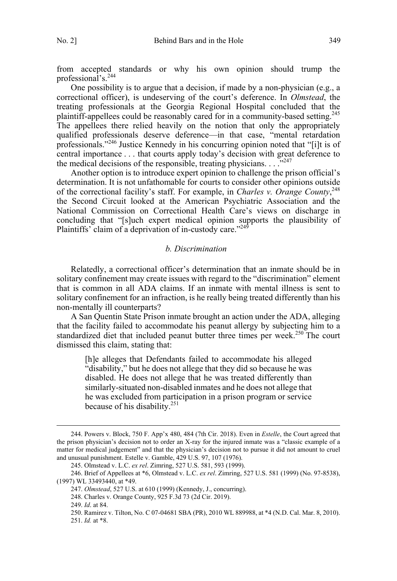<span id="page-30-0"></span>from accepted standards or why his own opinion should trump the professional's.<sup>244</sup>

One possibility is to argue that a decision, if made by a non-physician (e.g., a correctional officer), is undeserving of the court's deference. In *Olmstead*, the treating professionals at the Georgia Regional Hospital concluded that the plaintiff-appellees could be reasonably cared for in a community-based setting.<sup>245</sup> The appellees there relied heavily on the notion that only the appropriately qualified professionals deserve deference—in that case, "mental retardation professionals."246 Justice Kennedy in his concurring opinion noted that "[i]t is of central importance . . . that courts apply today's decision with great deference to the medical decisions of the responsible, treating physicians.  $\ldots$ <sup>3247</sup>

Another option is to introduce expert opinion to challenge the prison official's determination. It is not unfathomable for courts to consider other opinions outside of the correctional facility's staff. For example, in *Charles v. Orange County*, 248 the Second Circuit looked at the American Psychiatric Association and the National Commission on Correctional Health Care's views on discharge in concluding that "[s]uch expert medical opinion supports the plausibility of Plaintiffs' claim of a deprivation of in-custody care."<sup>249</sup>

#### *b. Discrimination*

Relatedly, a correctional officer's determination that an inmate should be in solitary confinement may create issues with regard to the "discrimination" element that is common in all ADA claims. If an inmate with mental illness is sent to solitary confinement for an infraction, is he really being treated differently than his non-mentally ill counterparts?

A San Quentin State Prison inmate brought an action under the ADA, alleging that the facility failed to accommodate his peanut allergy by subjecting him to a standardized diet that included peanut butter three times per week.<sup>250</sup> The court dismissed this claim, stating that:

[h]e alleges that Defendants failed to accommodate his alleged "disability," but he does not allege that they did so because he was disabled. He does not allege that he was treated differently than similarly-situated non-disabled inmates and he does not allege that he was excluded from participation in a prison program or service because of his disability.<sup>251</sup>

 <sup>244.</sup> Powers v. Block, 750 F. App'x 480, 484 (7th Cir. 2018). Even in *Estelle*, the Court agreed that the prison physician's decision not to order an X-ray for the injured inmate was a "classic example of a matter for medical judgement" and that the physician's decision not to pursue it did not amount to cruel and unusual punishment. Estelle v. Gamble, 429 U.S. 97, 107 (1976).

<sup>245.</sup> Olmstead v. L.C. *ex rel*. Zimring, 527 U.S. 581, 593 (1999).

<sup>246.</sup> Brief of Appellees at \*6, Olmstead v. L.C. *ex rel*. Zimring, 527 U.S. 581 (1999) (No. 97-8538), (1997) WL 33493440, at \*49.

<sup>247.</sup> *Olmstead*, 527 U.S. at 610 (1999) (Kennedy, J., concurring).

<sup>248.</sup> Charles v. Orange County, 925 F.3d 73 (2d Cir. 2019).

<sup>249.</sup> *Id*. at 84.

<sup>250.</sup> Ramirez v. Tilton, No. C 07-04681 SBA (PR), 2010 WL 889988, at \*4 (N.D. Cal. Mar. 8, 2010). 251. *Id.* at \*8.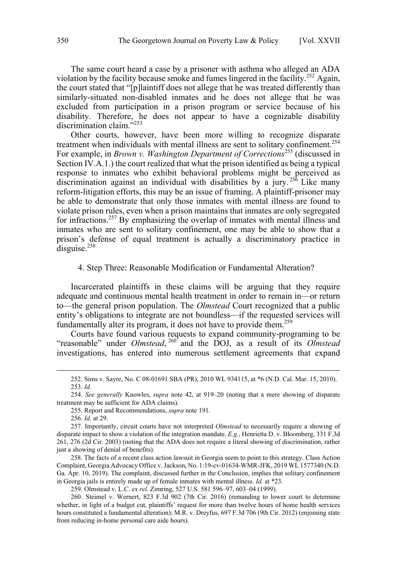<span id="page-31-0"></span>The same court heard a case by a prisoner with asthma who alleged an ADA violation by the facility because smoke and fumes lingered in the facility.<sup>252</sup> Again, the court stated that "[p]laintiff does not allege that he was treated differently than similarly-situated non-disabled inmates and he does not allege that he was excluded from participation in a prison program or service because of his disability. Therefore, he does not appear to have a cognizable disability discrimination claim."<sup>253</sup>

Other courts, however, have been more willing to recognize disparate treatment when individuals with mental illness are sent to solitary confinement.<sup>254</sup> For example, in *Brown v. Washington Department of Corrections*<sup>255</sup> (discussed in Section  $\overline{IV.A.1.}$ ) the court realized that what the prison identified as being a typical response to inmates who exhibit behavioral problems might be perceived as discrimination against an individual with disabilities by a jury.<sup>256</sup> Like many reform-litigation efforts, this may be an issue of framing. A plaintiff-prisoner may be able to demonstrate that only those inmates with mental illness are found to violate prison rules, even when a prison maintains that inmates are only segregated for infractions.<sup>257</sup> By emphasizing the overlap of inmates with mental illness and inmates who are sent to solitary confinement, one may be able to show that a prison's defense of equal treatment is actually a discriminatory practice in disguise.<sup>258</sup>

#### 4. Step Three: Reasonable Modification or Fundamental Alteration?

Incarcerated plaintiffs in these claims will be arguing that they require adequate and continuous mental health treatment in order to remain in—or return to—the general prison population. The *Olmstead* Court recognized that a public entity's obligations to integrate are not boundless—if the requested services will fundamentally alter its program, it does not have to provide them.<sup>259</sup>

Courts have found various requests to expand community-programing to be "reasonable" under *Olmstead*, <sup>260</sup> and the DOJ, as a result of its *Olmstead* investigations, has entered into numerous settlement agreements that expand

 <sup>252.</sup> Sims v. Sayre, No. C 08-01691 SBA (PR), 2010 WL 934115, at \*6 (N.D. Cal. Mar. 15, 2010). 253. *Id.*

<sup>254.</sup> *See generally* Knowles, *supra* note 42, at 919–20 (noting that a mere showing of disparate treatment may be sufficient for ADA claims).

<sup>255.</sup> Report and Recommendations, *supra* note 191.

<sup>256.</sup> *Id.* at 29.

<sup>257.</sup> Importantly, circuit courts have not interpreted *Olmstead* to necessarily require a showing of disparate impact to show a violation of the integration mandate. *E.g.*, Henrietta D. v. Bloomberg, 331 F.3d 261, 276 (2d Cir. 2003) (noting that the ADA does not require a literal showing of discrimination, rather just a showing of denial of benefits).

<sup>258.</sup> The facts of a recent class action lawsuit in Georgia seem to point to this strategy. Class Action Complaint, Georgia Advocacy Office v. Jackson, No. 1:19-cv-01634-WMR-JFK, 2019 WL 1577340 (N.D. Ga. Apr. 10, 2019). The complaint, discussed further in the Conclusion, implies that solitary confinement in Georgia jails is entirely made up of female inmates with mental illness. *Id.* at \*23.

<sup>259.</sup> Olmstead v. L.C. *ex rel*. Zimring, 527 U.S. 581 596–97, 603–04 (1999).

<sup>260.</sup> Steimel v. Wernert, 823 F.3d 902 (7th Cir. 2016) (remanding to lower court to determine whether, in light of a budget cut, plaintiffs' request for more than twelve hours of home health services hours constituted a fundamental alteration); M.R. v. Dreyfus, 697 F.3d 706 (9th Cir. 2012) (enjoining state from reducing in-home personal care aide hours).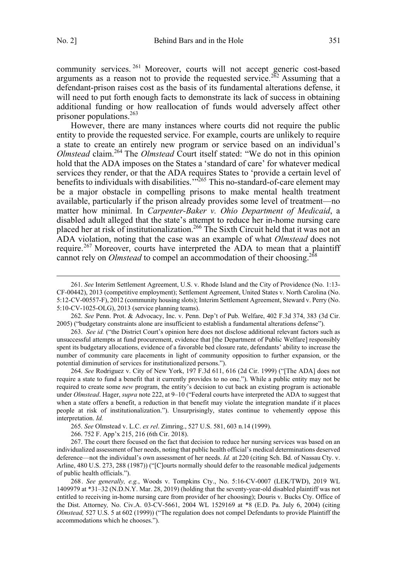community services. <sup>261</sup> Moreover, courts will not accept generic cost-based arguments as a reason not to provide the requested service.<sup>262</sup> Assuming that a defendant-prison raises cost as the basis of its fundamental alterations defense, it will need to put forth enough facts to demonstrate its lack of success in obtaining additional funding or how reallocation of funds would adversely affect other prisoner populations.263

However, there are many instances where courts did not require the public entity to provide the requested service. For example, courts are unlikely to require a state to create an entirely new program or service based on an individual's *Olmstead* claim.264 The *Olmstead* Court itself stated: "We do not in this opinion hold that the ADA imposes on the States a 'standard of care' for whatever medical services they render, or that the ADA requires States to 'provide a certain level of benefits to individuals with disabilities.<sup>"265</sup> This no-standard-of-care element may be a major obstacle in compelling prisons to make mental health treatment available, particularly if the prison already provides some level of treatment—no matter how minimal. In *Carpenter-Baker v. Ohio Department of Medicaid*, a disabled adult alleged that the state's attempt to reduce her in-home nursing care placed her at risk of institutionalization.<sup>266</sup> The Sixth Circuit held that it was not an ADA violation, noting that the case was an example of what *Olmstead* does not require.<sup>267</sup> Moreover, courts have interpreted the ADA to mean that a plaintiff cannot rely on *Olmstead* to compel an accommodation of their choosing.<sup>268</sup>

262. *See* Penn. Prot. & Advocacy, Inc. v. Penn. Dep't of Pub. Welfare, 402 F.3d 374, 383 (3d Cir. 2005) ("budgetary constraints alone are insufficient to establish a fundamental alterations defense").

263. *See id.* ("the District Court's opinion here does not disclose additional relevant factors such as unsuccessful attempts at fund procurement, evidence that [the Department of Public Welfare] responsibly spent its budgetary allocations, evidence of a favorable bed closure rate, defendants' ability to increase the number of community care placements in light of community opposition to further expansion, or the potential diminution of services for institutionalized persons.").

264. *See* Rodriguez v. City of New York, 197 F.3d 611, 616 (2d Cir. 1999) ("[The ADA] does not require a state to fund a benefit that it currently provides to no one."). While a public entity may not be required to create some *new* program, the entity's decision to cut back an existing program is actionable under *Olmstead*. Hager, *supra* note 222, at 9–10 ("Federal courts have interpreted the ADA to suggest that when a state offers a benefit, a reduction in that benefit may violate the integration mandate if it places people at risk of institutionalization."). Unsurprisingly, states continue to vehemently oppose this interpretation. *Id.* 

265. *See* Olmstead v. L.C. *ex rel*. Zimring., 527 U.S. 581, 603 n.14 (1999).

266. 752 F. App'x 215, 216 (6th Cir. 2018).

267. The court there focused on the fact that decision to reduce her nursing services was based on an individualized assessment of her needs, noting that public health official's medical determinations deserved deference—not the individual's own assessment of her needs. *Id.* at 220 (citing Sch. Bd. of Nassau Cty. v. Arline, 480 U.S. 273, 288 (1987)) ("[C]ourts normally should defer to the reasonable medical judgements of public health officials.").

268. *See generally, e.g.*, Woods v. Tompkins Cty., No. 5:16-CV-0007 (LEK/TWD), 2019 WL 1409979 at \*31–32 (N.D.N.Y. Mar. 28, 2019) (holding that the seventy-year-old disabled plaintiff was not entitled to receiving in-home nursing care from provider of her choosing); Douris v. Bucks Cty. Office of the Dist. Attorney*,* No. Civ.A. 03-CV-5661, 2004 WL 1529169 at \*8 (E.D. Pa. July 6, 2004) (citing *Olmstead,* 527 U.S. 5 at 602 (1999)) ("The regulation does not compel Defendants to provide Plaintiff the accommodations which he chooses.").

 <sup>261.</sup> *See* Interim Settlement Agreement, U.S. v. Rhode Island and the City of Providence (No. 1:13- CF-00442), 2013 (competitive employment); Settlement Agreement, United States v. North Carolina (No. 5:12-CV-00557-F), 2012 (community housing slots); Interim Settlement Agreement, Steward v. Perry (No. 5:10-CV-1025-OLG), 2013 (service planning teams).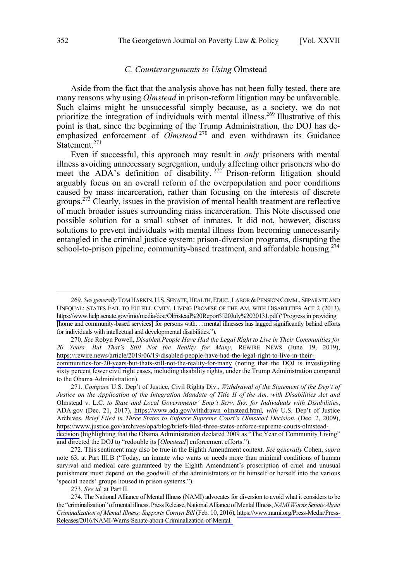#### *C. Counterarguments to Using* Olmstead

<span id="page-33-0"></span>Aside from the fact that the analysis above has not been fully tested, there are many reasons why using *Olmstead* in prison-reform litigation may be unfavorable. Such claims might be unsuccessful simply because, as a society, we do not prioritize the integration of individuals with mental illness.<sup>269</sup> Illustrative of this point is that, since the beginning of the Trump Administration, the DOJ has deemphasized enforcement of *Olmstead*<sup>270</sup> and even withdrawn its Guidance Statement.<sup>271</sup>

Even if successful, this approach may result in *only* prisoners with mental illness avoiding unnecessary segregation, unduly affecting other prisoners who do meet the ADA's definition of disability.<sup>272</sup> Prison-reform litigation should arguably focus on an overall reform of the overpopulation and poor conditions caused by mass incarceration, rather than focusing on the interests of discrete groups.<sup>273</sup> Clearly, issues in the provision of mental health treatment are reflective of much broader issues surrounding mass incarceration. This Note discussed one possible solution for a small subset of inmates. It did not, however, discuss solutions to prevent individuals with mental illness from becoming unnecessarily entangled in the criminal justice system: prison-diversion programs, disrupting the school-to-prison pipeline, community-based treatment, and affordable housing.<sup>274</sup>

*See* Robyn Powell, *Disabled People Have Had the Legal Right to Live in Their Communities for*  270. *20 Years. But That's Still Not the Reality for Many*, REWIRE NEWS (June 19, 2019), [https://rewire.news/article/2019/06/19/disabled-people-have-had-the-legal-right-to-live-in-their-](https://rewire.news/article/2019/06/19/disabled-people-have-had-the-legal-right-to-live-in-their-communities-for-20-years-but-thats-still-not-the-reality-for-many)

273. *See id.* at Part II.

 $\overline{a}$ 

<sup>269.</sup> *See generally* TOM HARKIN, U.S. SENATE, HEALTH, EDUC., LABOR & PENSION COMM., SEPARATE AND UNEQUAL: STATES FAIL TO FULFILL CMTY. LIVING PROMISE OF THE AM. WITH DISABILITIES ACT 2 (2013), [https://www.help.senate.gov/imo/media/doc/Olmstead%20Report%20July%2020131.pdf \(](https://www.help.senate.gov/imo/media/doc/Olmstead%20Report%20July%2020131.pdf)"Progress in providing [home and community-based services] for persons with. . . mental illnesses has lagged significantly behind efforts for individuals with intellectual and developmental disabilities.").

[communities-for-20-years-but-thats-still-not-the-reality-for-many](https://rewire.news/article/2019/06/19/disabled-people-have-had-the-legal-right-to-live-in-their-communities-for-20-years-but-thats-still-not-the-reality-for-many) (noting that the DOJ is investigating sixty percent fewer civil right cases, including disability rights, under the Trump Administration compared to the Obama Administration).

*Compare* U.S. Dep't of Justice, Civil Rights Div., *Withdrawal of the Statement of the Dep't of*  271. *Justice on the Application of the Integration Mandate of Title II of the Am. with Disabilities Act and*  Olmstead v. L.C. *to State and Local Governments' Emp't Serv. Sys. for Individuals with Disabilities*, ADA.gov (Dec. 21, 2017), [https://www.ada.gov/withdrawn\\_olmstead.html](https://www.ada.gov/withdrawn_olmstead.html)*, with* U.S. Dep't of Justice Archives, *Brief Filed in Three States to Enforce Supreme Court's Olmstead Decision*, (Dec. 2, 2009), [https://www.justice.gov/archives/opa/blog/briefs-filed-three-states-enforce-supreme-courts-olmstead](https://www.justice.gov/archives/opa/blog/briefs-filed-three-states-enforce-supreme-courts-olmstead-decision)[decision](https://www.justice.gov/archives/opa/blog/briefs-filed-three-states-enforce-supreme-courts-olmstead-decision) (highlighting that the Obama Administration declared 2009 as "The Year of Community Living" and directed the DOJ to "redouble its [*Olmstead*] enforcement efforts.").

<sup>272.</sup> This sentiment may also be true in the Eighth Amendment context. *See generally* Cohen, *supra* note 63, at Part III.B ("Today, an inmate who wants or needs more than minimal conditions of human survival and medical care guaranteed by the Eighth Amendment's proscription of cruel and unusual punishment must depend on the goodwill of the administrators or fit himself or herself into the various 'special needs' groups housed in prison systems.").

<sup>274.</sup> The National Alliance of Mental Illness (NAMI) advocates for diversion to avoid what it considers to be the "criminalization" of mental illness. Press Release, National Alliance of Mental Illness, *NAMI Warns Senate About Criminalization of Mental Illness; Supports Cornyn Bill* (Feb. 10, 2016), [https://www.nami.org/Press-Media/Press-](https://www.nami.org/Press-Media/Press-Releases/2016/NAMI-Warns-Senate-about-Criminalization-of-Mental)[Releases/2016/NAMI-Warns-Senate-about-Criminalization-of-Mental.](https://www.nami.org/Press-Media/Press-Releases/2016/NAMI-Warns-Senate-about-Criminalization-of-Mental)